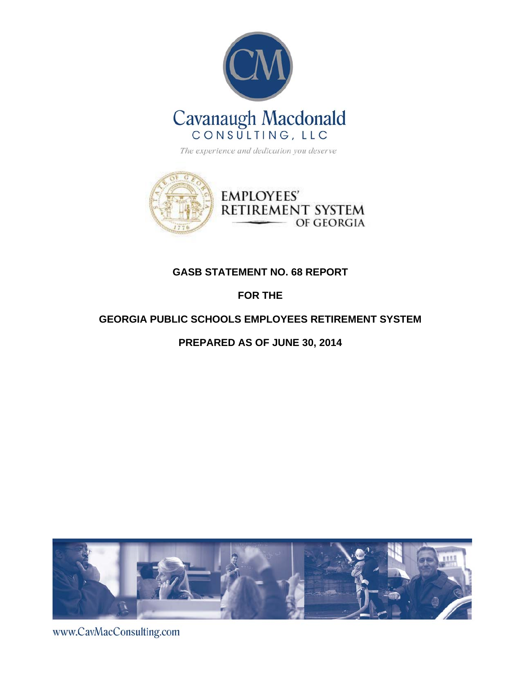



# **GASB STATEMENT NO. 68 REPORT**

# **FOR THE**

# **GEORGIA PUBLIC SCHOOLS EMPLOYEES RETIREMENT SYSTEM**

# **PREPARED AS OF JUNE 30, 2014**



www.CavMacConsulting.com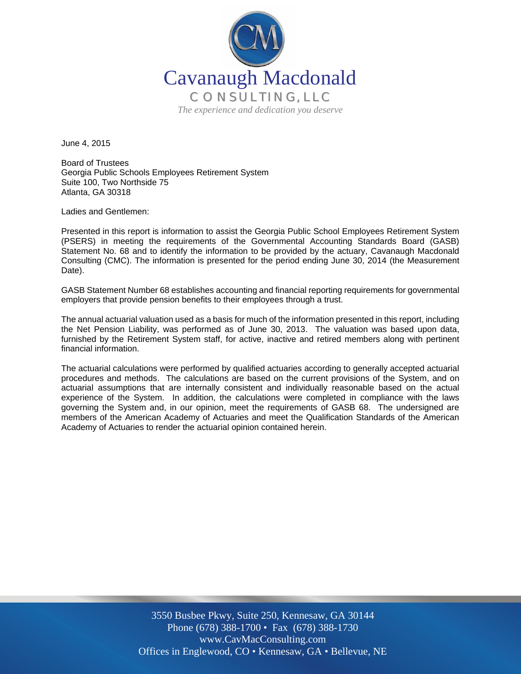

June 4, 2015

Board of Trustees Georgia Public Schools Employees Retirement System Suite 100, Two Northside 75 Atlanta, GA 30318

Ladies and Gentlemen:

Presented in this report is information to assist the Georgia Public School Employees Retirement System (PSERS) in meeting the requirements of the Governmental Accounting Standards Board (GASB) Statement No. 68 and to identify the information to be provided by the actuary, Cavanaugh Macdonald Consulting (CMC). The information is presented for the period ending June 30, 2014 (the Measurement Date).

GASB Statement Number 68 establishes accounting and financial reporting requirements for governmental employers that provide pension benefits to their employees through a trust.

The annual actuarial valuation used as a basis for much of the information presented in this report, including the Net Pension Liability, was performed as of June 30, 2013. The valuation was based upon data, furnished by the Retirement System staff, for active, inactive and retired members along with pertinent financial information.

The actuarial calculations were performed by qualified actuaries according to generally accepted actuarial procedures and methods. The calculations are based on the current provisions of the System, and on actuarial assumptions that are internally consistent and individually reasonable based on the actual experience of the System. In addition, the calculations were completed in compliance with the laws governing the System and, in our opinion, meet the requirements of GASB 68. The undersigned are members of the American Academy of Actuaries and meet the Qualification Standards of the American Academy of Actuaries to render the actuarial opinion contained herein.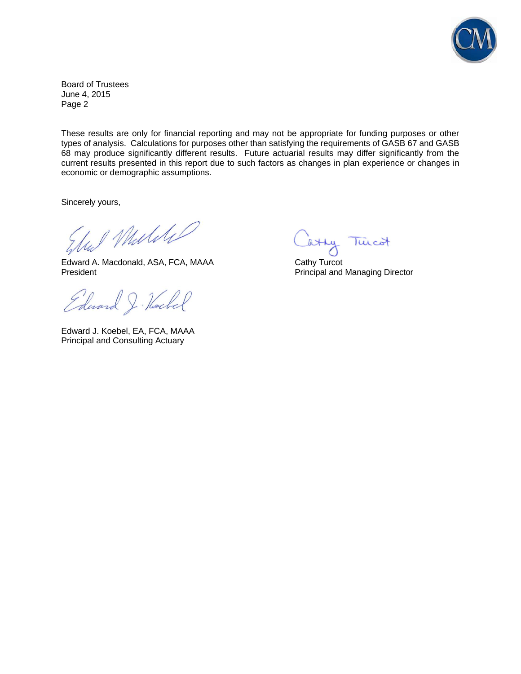

Board of Trustees June 4, 2015 Page 2

These results are only for financial reporting and may not be appropriate for funding purposes or other types of analysis. Calculations for purposes other than satisfying the requirements of GASB 67 and GASB 68 may produce significantly different results. Future actuarial results may differ significantly from the current results presented in this report due to such factors as changes in plan experience or changes in economic or demographic assumptions.

Sincerely yours,

Und Muliti

Edward A. Macdonald, ASA, FCA, MAAA Cathy Turcot President **President** Principal and Managing Director

Edward J. Hockel

Edward J. Koebel, EA, FCA, MAAA Principal and Consulting Actuary

atty Twicot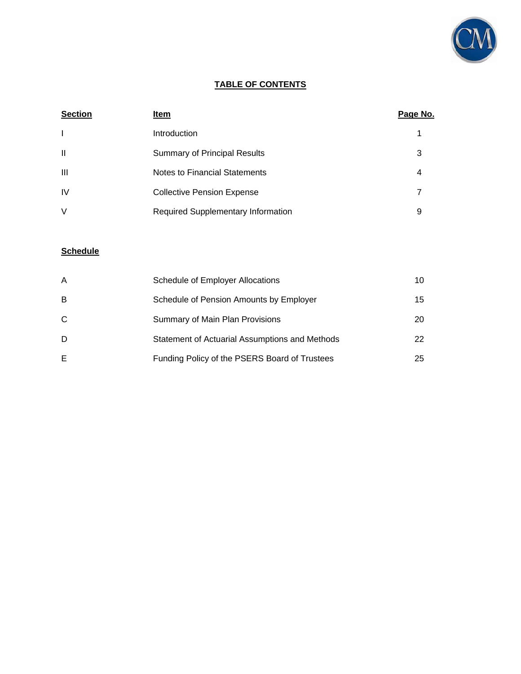

# **TABLE OF CONTENTS**

| <b>Section</b> | Item                                      | Page No. |
|----------------|-------------------------------------------|----------|
| $\mathbf{I}$   | Introduction                              |          |
| $\mathbf{I}$   | <b>Summary of Principal Results</b>       | 3        |
| Ш              | Notes to Financial Statements             | 4        |
| <b>IV</b>      | <b>Collective Pension Expense</b>         | 7        |
| V              | <b>Required Supplementary Information</b> | 9        |

# **Schedule**

| A | Schedule of Employer Allocations               | 10 |
|---|------------------------------------------------|----|
| B | Schedule of Pension Amounts by Employer        | 15 |
| C | <b>Summary of Main Plan Provisions</b>         | 20 |
| D | Statement of Actuarial Assumptions and Methods | 22 |
| E | Funding Policy of the PSERS Board of Trustees  | 25 |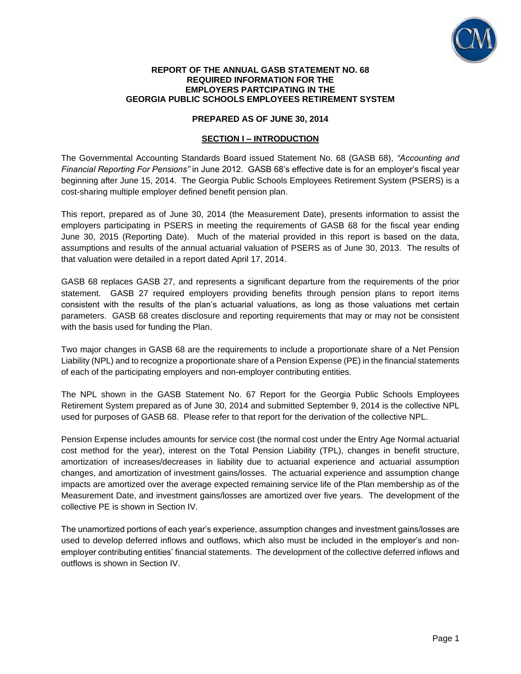

#### **REPORT OF THE ANNUAL GASB STATEMENT NO. 68 REQUIRED INFORMATION FOR THE EMPLOYERS PARTCIPATING IN THE GEORGIA PUBLIC SCHOOLS EMPLOYEES RETIREMENT SYSTEM**

### **PREPARED AS OF JUNE 30, 2014**

### **SECTION I – INTRODUCTION**

The Governmental Accounting Standards Board issued Statement No. 68 (GASB 68), *"Accounting and Financial Reporting For Pensions"* in June 2012. GASB 68's effective date is for an employer's fiscal year beginning after June 15, 2014. The Georgia Public Schools Employees Retirement System (PSERS) is a cost-sharing multiple employer defined benefit pension plan.

This report, prepared as of June 30, 2014 (the Measurement Date), presents information to assist the employers participating in PSERS in meeting the requirements of GASB 68 for the fiscal year ending June 30, 2015 (Reporting Date). Much of the material provided in this report is based on the data, assumptions and results of the annual actuarial valuation of PSERS as of June 30, 2013. The results of that valuation were detailed in a report dated April 17, 2014.

GASB 68 replaces GASB 27, and represents a significant departure from the requirements of the prior statement. GASB 27 required employers providing benefits through pension plans to report items consistent with the results of the plan's actuarial valuations, as long as those valuations met certain parameters. GASB 68 creates disclosure and reporting requirements that may or may not be consistent with the basis used for funding the Plan.

Two major changes in GASB 68 are the requirements to include a proportionate share of a Net Pension Liability (NPL) and to recognize a proportionate share of a Pension Expense (PE) in the financial statements of each of the participating employers and non-employer contributing entities.

The NPL shown in the GASB Statement No. 67 Report for the Georgia Public Schools Employees Retirement System prepared as of June 30, 2014 and submitted September 9, 2014 is the collective NPL used for purposes of GASB 68. Please refer to that report for the derivation of the collective NPL.

Pension Expense includes amounts for service cost (the normal cost under the Entry Age Normal actuarial cost method for the year), interest on the Total Pension Liability (TPL), changes in benefit structure, amortization of increases/decreases in liability due to actuarial experience and actuarial assumption changes, and amortization of investment gains/losses. The actuarial experience and assumption change impacts are amortized over the average expected remaining service life of the Plan membership as of the Measurement Date, and investment gains/losses are amortized over five years. The development of the collective PE is shown in Section IV.

The unamortized portions of each year's experience, assumption changes and investment gains/losses are used to develop deferred inflows and outflows, which also must be included in the employer's and nonemployer contributing entities' financial statements. The development of the collective deferred inflows and outflows is shown in Section IV.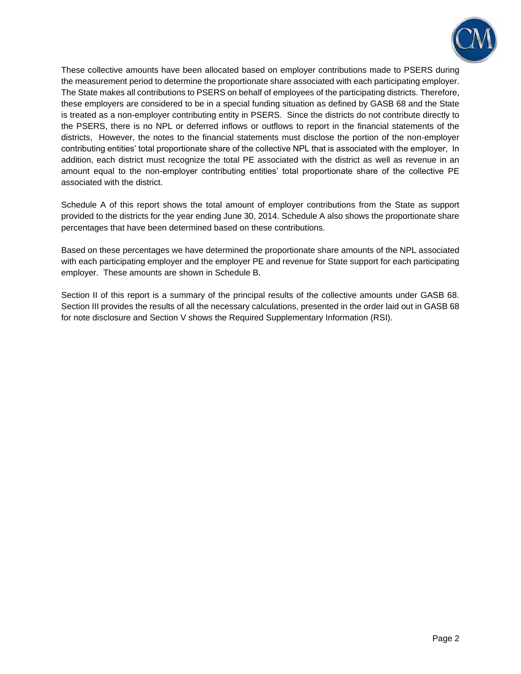

These collective amounts have been allocated based on employer contributions made to PSERS during the measurement period to determine the proportionate share associated with each participating employer. The State makes all contributions to PSERS on behalf of employees of the participating districts. Therefore, these employers are considered to be in a special funding situation as defined by GASB 68 and the State is treated as a non-employer contributing entity in PSERS. Since the districts do not contribute directly to the PSERS, there is no NPL or deferred inflows or outflows to report in the financial statements of the districts, However, the notes to the financial statements must disclose the portion of the non-employer contributing entities' total proportionate share of the collective NPL that is associated with the employer, In addition, each district must recognize the total PE associated with the district as well as revenue in an amount equal to the non-employer contributing entities' total proportionate share of the collective PE associated with the district.

Schedule A of this report shows the total amount of employer contributions from the State as support provided to the districts for the year ending June 30, 2014. Schedule A also shows the proportionate share percentages that have been determined based on these contributions.

Based on these percentages we have determined the proportionate share amounts of the NPL associated with each participating employer and the employer PE and revenue for State support for each participating employer. These amounts are shown in Schedule B.

Section II of this report is a summary of the principal results of the collective amounts under GASB 68. Section III provides the results of all the necessary calculations, presented in the order laid out in GASB 68 for note disclosure and Section V shows the Required Supplementary Information (RSI).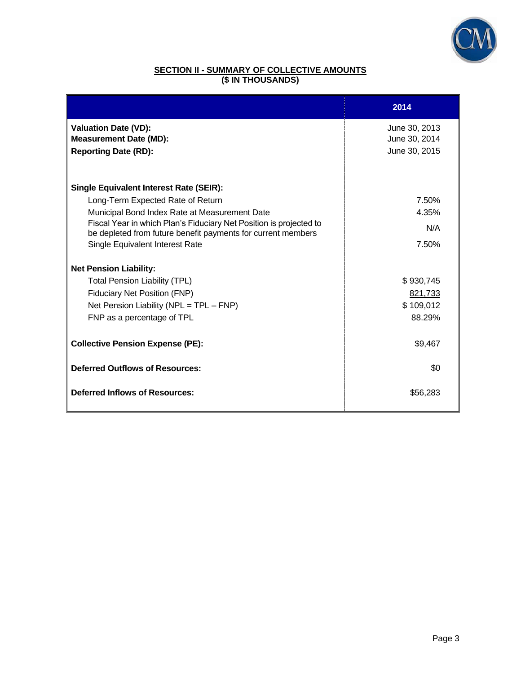

## **SECTION II - SUMMARY OF COLLECTIVE AMOUNTS (\$ IN THOUSANDS)**

|                                                                                                                                    | 2014          |
|------------------------------------------------------------------------------------------------------------------------------------|---------------|
| <b>Valuation Date (VD):</b>                                                                                                        | June 30, 2013 |
| <b>Measurement Date (MD):</b>                                                                                                      | June 30, 2014 |
| <b>Reporting Date (RD):</b>                                                                                                        | June 30, 2015 |
|                                                                                                                                    |               |
| <b>Single Equivalent Interest Rate (SEIR):</b>                                                                                     |               |
| Long-Term Expected Rate of Return                                                                                                  | 7.50%         |
| Municipal Bond Index Rate at Measurement Date                                                                                      | 4.35%         |
| Fiscal Year in which Plan's Fiduciary Net Position is projected to<br>be depleted from future benefit payments for current members | N/A           |
| Single Equivalent Interest Rate                                                                                                    | 7.50%         |
| <b>Net Pension Liability:</b>                                                                                                      |               |
| <b>Total Pension Liability (TPL)</b>                                                                                               | \$930,745     |
| Fiduciary Net Position (FNP)                                                                                                       | 821,733       |
| Net Pension Liability ( $NPL = TPL - FNP$ )                                                                                        | \$109,012     |
| FNP as a percentage of TPL                                                                                                         | 88.29%        |
|                                                                                                                                    |               |
| <b>Collective Pension Expense (PE):</b>                                                                                            | \$9,467       |
| <b>Deferred Outflows of Resources:</b>                                                                                             | \$0           |
| <b>Deferred Inflows of Resources:</b>                                                                                              | \$56,283      |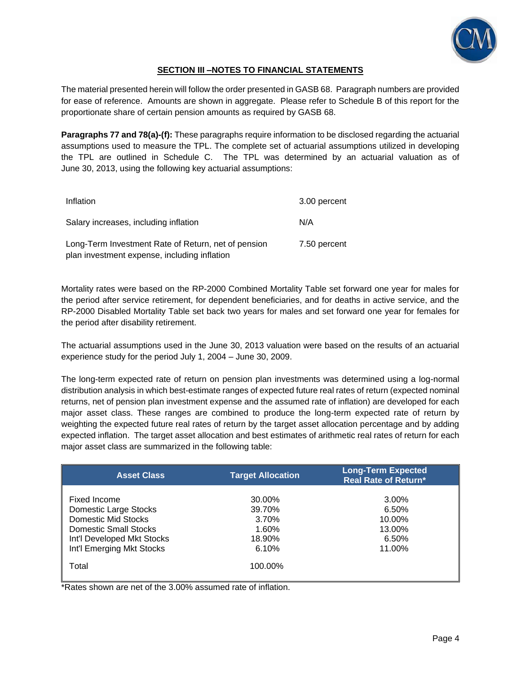

## **SECTION III –NOTES TO FINANCIAL STATEMENTS**

The material presented herein will follow the order presented in GASB 68. Paragraph numbers are provided for ease of reference. Amounts are shown in aggregate. Please refer to Schedule B of this report for the proportionate share of certain pension amounts as required by GASB 68.

**Paragraphs 77 and 78(a)-(f):** These paragraphs require information to be disclosed regarding the actuarial assumptions used to measure the TPL. The complete set of actuarial assumptions utilized in developing the TPL are outlined in Schedule C. The TPL was determined by an actuarial valuation as of June 30, 2013, using the following key actuarial assumptions:

| Inflation                                                                                           | 3.00 percent |
|-----------------------------------------------------------------------------------------------------|--------------|
| Salary increases, including inflation                                                               | N/A          |
| Long-Term Investment Rate of Return, net of pension<br>plan investment expense, including inflation | 7.50 percent |

Mortality rates were based on the RP-2000 Combined Mortality Table set forward one year for males for the period after service retirement, for dependent beneficiaries, and for deaths in active service, and the RP-2000 Disabled Mortality Table set back two years for males and set forward one year for females for the period after disability retirement.

The actuarial assumptions used in the June 30, 2013 valuation were based on the results of an actuarial experience study for the period July 1, 2004 – June 30, 2009.

The long-term expected rate of return on pension plan investments was determined using a log-normal distribution analysis in which best-estimate ranges of expected future real rates of return (expected nominal returns, net of pension plan investment expense and the assumed rate of inflation) are developed for each major asset class. These ranges are combined to produce the long-term expected rate of return by weighting the expected future real rates of return by the target asset allocation percentage and by adding expected inflation. The target asset allocation and best estimates of arithmetic real rates of return for each major asset class are summarized in the following table:

| <b>Asset Class</b>           | <b>Target Allocation</b> | <b>Long-Term Expected</b><br><b>Real Rate of Return*</b> |
|------------------------------|--------------------------|----------------------------------------------------------|
|                              |                          |                                                          |
| Fixed Income                 | 30.00%                   | 3.00%                                                    |
| Domestic Large Stocks        | 39.70%                   | 6.50%                                                    |
| Domestic Mid Stocks          | 3.70%                    | 10.00%                                                   |
| <b>Domestic Small Stocks</b> | $1.60\%$                 | 13.00%                                                   |
| Int'l Developed Mkt Stocks   | 18.90%                   | 6.50%                                                    |
| Int'l Emerging Mkt Stocks    | 6.10%                    | 11.00%                                                   |
| Total                        | 100.00%                  |                                                          |

\*Rates shown are net of the 3.00% assumed rate of inflation.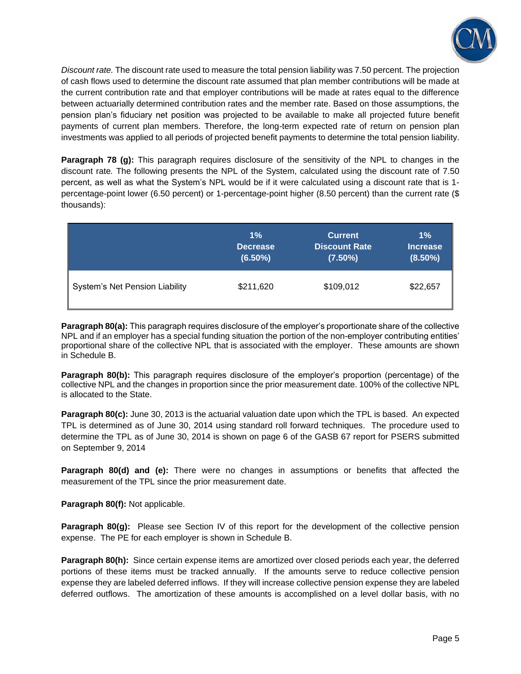

*Discount rate.* The discount rate used to measure the total pension liability was 7.50 percent. The projection of cash flows used to determine the discount rate assumed that plan member contributions will be made at the current contribution rate and that employer contributions will be made at rates equal to the difference between actuarially determined contribution rates and the member rate. Based on those assumptions, the pension plan's fiduciary net position was projected to be available to make all projected future benefit payments of current plan members. Therefore, the long-term expected rate of return on pension plan investments was applied to all periods of projected benefit payments to determine the total pension liability.

**Paragraph 78 (g):** This paragraph requires disclosure of the sensitivity of the NPL to changes in the discount rate*.* The following presents the NPL of the System, calculated using the discount rate of 7.50 percent, as well as what the System's NPL would be if it were calculated using a discount rate that is 1 percentage-point lower (6.50 percent) or 1-percentage-point higher (8.50 percent) than the current rate (\$ thousands):

|                                | $1\%$           | <b>Current</b>       | $1\%$           |
|--------------------------------|-----------------|----------------------|-----------------|
|                                | <b>Decrease</b> | <b>Discount Rate</b> | <b>Increase</b> |
|                                | $(6.50\%)$      | $(7.50\%)$           | $(8.50\%)$      |
| System's Net Pension Liability | \$211,620       | \$109,012            | \$22,657        |

**Paragraph 80(a):** This paragraph requires disclosure of the employer's proportionate share of the collective NPL and if an employer has a special funding situation the portion of the non-employer contributing entities' proportional share of the collective NPL that is associated with the employer. These amounts are shown in Schedule B.

**Paragraph 80(b):** This paragraph requires disclosure of the employer's proportion (percentage) of the collective NPL and the changes in proportion since the prior measurement date. 100% of the collective NPL is allocated to the State.

**Paragraph 80(c):** June 30, 2013 is the actuarial valuation date upon which the TPL is based. An expected TPL is determined as of June 30, 2014 using standard roll forward techniques. The procedure used to determine the TPL as of June 30, 2014 is shown on page 6 of the GASB 67 report for PSERS submitted on September 9, 2014

**Paragraph 80(d) and (e):** There were no changes in assumptions or benefits that affected the measurement of the TPL since the prior measurement date.

**Paragraph 80(f):** Not applicable.

**Paragraph 80(g):** Please see Section IV of this report for the development of the collective pension expense. The PE for each employer is shown in Schedule B.

**Paragraph 80(h):** Since certain expense items are amortized over closed periods each year, the deferred portions of these items must be tracked annually. If the amounts serve to reduce collective pension expense they are labeled deferred inflows. If they will increase collective pension expense they are labeled deferred outflows. The amortization of these amounts is accomplished on a level dollar basis, with no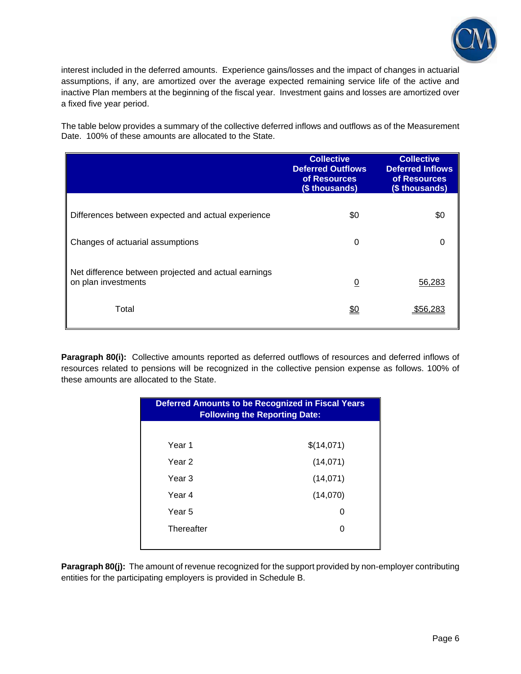

interest included in the deferred amounts. Experience gains/losses and the impact of changes in actuarial assumptions, if any, are amortized over the average expected remaining service life of the active and inactive Plan members at the beginning of the fiscal year. Investment gains and losses are amortized over a fixed five year period.

The table below provides a summary of the collective deferred inflows and outflows as of the Measurement Date. 100% of these amounts are allocated to the State.

|                                                                             | <b>Collective</b><br><b>Deferred Outflows</b><br>of Resources<br>(\$ thousands) | <b>Collective</b><br><b>Deferred Inflows</b><br>of Resources<br>(\$ thousands) |
|-----------------------------------------------------------------------------|---------------------------------------------------------------------------------|--------------------------------------------------------------------------------|
| Differences between expected and actual experience                          | \$0                                                                             | \$0                                                                            |
| Changes of actuarial assumptions                                            | 0                                                                               | 0                                                                              |
| Net difference between projected and actual earnings<br>on plan investments | $\overline{0}$                                                                  | 56,283                                                                         |
| Total                                                                       | <u>\$0</u>                                                                      | \$56.28                                                                        |

**Paragraph 80(i):** Collective amounts reported as deferred outflows of resources and deferred inflows of resources related to pensions will be recognized in the collective pension expense as follows. 100% of these amounts are allocated to the State.

| <b>Deferred Amounts to be Recognized in Fiscal Years</b><br><b>Following the Reporting Date:</b> |            |  |
|--------------------------------------------------------------------------------------------------|------------|--|
|                                                                                                  |            |  |
| Year 1                                                                                           | \$(14,071) |  |
| Year 2                                                                                           | (14, 071)  |  |
| Year 3                                                                                           | (14, 071)  |  |
| Year 4                                                                                           | (14,070)   |  |
| Year 5                                                                                           | 0          |  |
| Thereafter                                                                                       | 0          |  |
|                                                                                                  |            |  |

**Paragraph 80(j):** The amount of revenue recognized for the support provided by non-employer contributing entities for the participating employers is provided in Schedule B.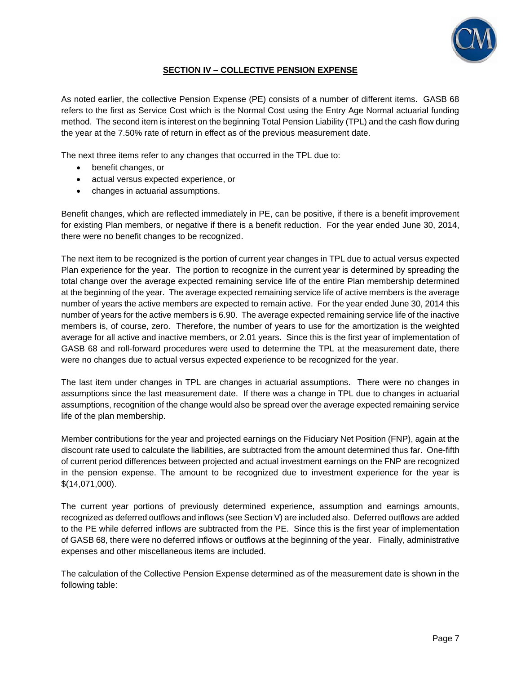

## **SECTION IV – COLLECTIVE PENSION EXPENSE**

As noted earlier, the collective Pension Expense (PE) consists of a number of different items. GASB 68 refers to the first as Service Cost which is the Normal Cost using the Entry Age Normal actuarial funding method. The second item is interest on the beginning Total Pension Liability (TPL) and the cash flow during the year at the 7.50% rate of return in effect as of the previous measurement date.

The next three items refer to any changes that occurred in the TPL due to:

- benefit changes, or
- actual versus expected experience, or
- changes in actuarial assumptions.

Benefit changes, which are reflected immediately in PE, can be positive, if there is a benefit improvement for existing Plan members, or negative if there is a benefit reduction. For the year ended June 30, 2014, there were no benefit changes to be recognized.

The next item to be recognized is the portion of current year changes in TPL due to actual versus expected Plan experience for the year. The portion to recognize in the current year is determined by spreading the total change over the average expected remaining service life of the entire Plan membership determined at the beginning of the year. The average expected remaining service life of active members is the average number of years the active members are expected to remain active. For the year ended June 30, 2014 this number of years for the active members is 6.90. The average expected remaining service life of the inactive members is, of course, zero. Therefore, the number of years to use for the amortization is the weighted average for all active and inactive members, or 2.01 years. Since this is the first year of implementation of GASB 68 and roll-forward procedures were used to determine the TPL at the measurement date, there were no changes due to actual versus expected experience to be recognized for the year.

The last item under changes in TPL are changes in actuarial assumptions. There were no changes in assumptions since the last measurement date. If there was a change in TPL due to changes in actuarial assumptions, recognition of the change would also be spread over the average expected remaining service life of the plan membership.

Member contributions for the year and projected earnings on the Fiduciary Net Position (FNP), again at the discount rate used to calculate the liabilities, are subtracted from the amount determined thus far. One-fifth of current period differences between projected and actual investment earnings on the FNP are recognized in the pension expense. The amount to be recognized due to investment experience for the year is \$(14,071,000).

The current year portions of previously determined experience, assumption and earnings amounts, recognized as deferred outflows and inflows (see Section V) are included also. Deferred outflows are added to the PE while deferred inflows are subtracted from the PE. Since this is the first year of implementation of GASB 68, there were no deferred inflows or outflows at the beginning of the year. Finally, administrative expenses and other miscellaneous items are included.

The calculation of the Collective Pension Expense determined as of the measurement date is shown in the following table: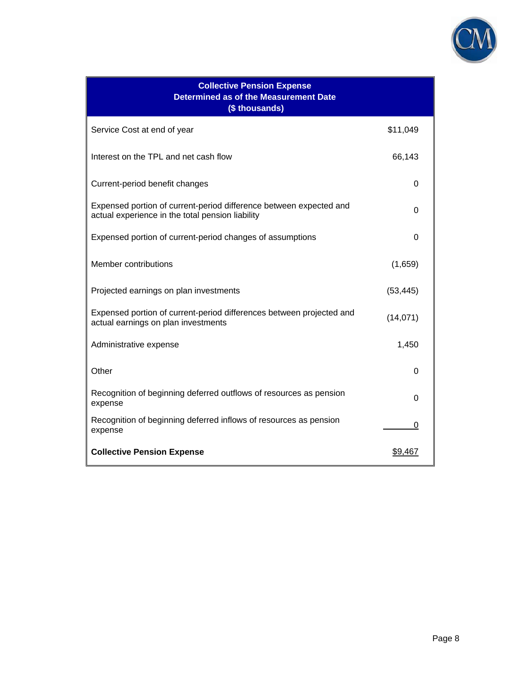

| <b>Collective Pension Expense</b><br><b>Determined as of the Measurement Date</b><br>(\$ thousands)                    |           |  |
|------------------------------------------------------------------------------------------------------------------------|-----------|--|
| Service Cost at end of year                                                                                            | \$11,049  |  |
| Interest on the TPL and net cash flow                                                                                  | 66,143    |  |
| Current-period benefit changes                                                                                         | 0         |  |
| Expensed portion of current-period difference between expected and<br>actual experience in the total pension liability | $\Omega$  |  |
| Expensed portion of current-period changes of assumptions                                                              | 0         |  |
| Member contributions                                                                                                   | (1,659)   |  |
| Projected earnings on plan investments                                                                                 | (53, 445) |  |
| Expensed portion of current-period differences between projected and<br>actual earnings on plan investments            | (14, 071) |  |
| Administrative expense                                                                                                 | 1,450     |  |
| Other                                                                                                                  | 0         |  |
| Recognition of beginning deferred outflows of resources as pension<br>expense                                          | U         |  |
| Recognition of beginning deferred inflows of resources as pension<br>expense                                           | O         |  |
| <b>Collective Pension Expense</b>                                                                                      | \$9,467   |  |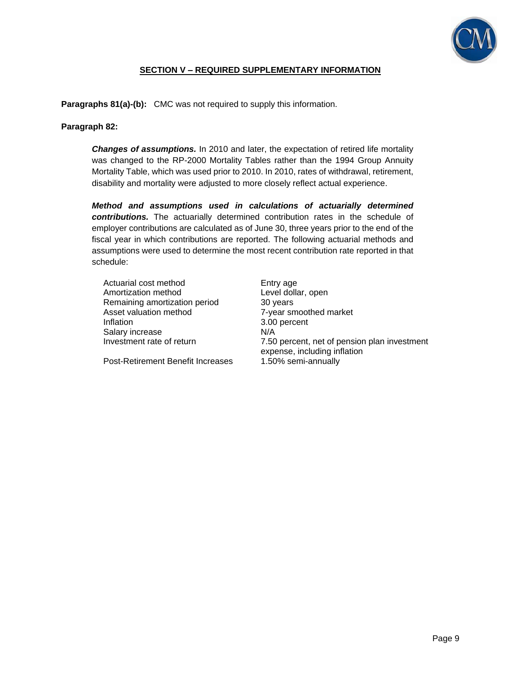

## **SECTION V – REQUIRED SUPPLEMENTARY INFORMATION**

**Paragraphs 81(a)-(b):** CMC was not required to supply this information.

### **Paragraph 82:**

*Changes of assumptions.* In 2010 and later, the expectation of retired life mortality was changed to the RP-2000 Mortality Tables rather than the 1994 Group Annuity Mortality Table, which was used prior to 2010. In 2010, rates of withdrawal, retirement, disability and mortality were adjusted to more closely reflect actual experience.

*Method and assumptions used in calculations of actuarially determined contributions.* The actuarially determined contribution rates in the schedule of employer contributions are calculated as of June 30, three years prior to the end of the fiscal year in which contributions are reported. The following actuarial methods and assumptions were used to determine the most recent contribution rate reported in that schedule:

| Actuarial cost method         | Enti            |
|-------------------------------|-----------------|
| Amortization method           | Lev             |
| Remaining amortization period | 30 <sub>1</sub> |
| Asset valuation method        | $7-y6$          |
| Inflation                     | 3.00            |
| Salary increase               | N/A             |
| Investment rate of return     | 7.50            |
|                               |                 |

Post-Retirement Benefit Increases 1.50% semi-annually

Entry age Level dollar, open 30 years 7-year smoothed market 3.00 percent 7.50 percent, net of pension plan investment expense, including inflation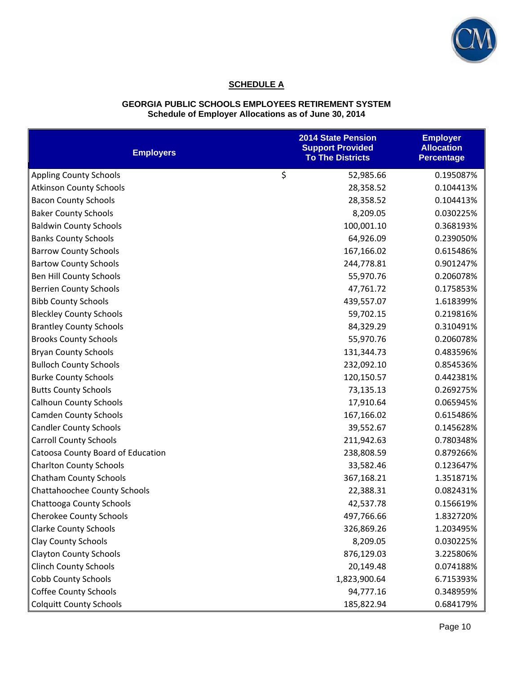

# **SCHEDULE A**

#### **GEORGIA PUBLIC SCHOOLS EMPLOYEES RETIREMENT SYSTEM Schedule of Employer Allocations as of June 30, 2014**

| <b>Employers</b>                  | <b>2014 State Pension</b><br><b>Support Provided</b><br><b>To The Districts</b> | <b>Employer</b><br><b>Allocation</b><br><b>Percentage</b> |
|-----------------------------------|---------------------------------------------------------------------------------|-----------------------------------------------------------|
| <b>Appling County Schools</b>     | \$<br>52,985.66                                                                 | 0.195087%                                                 |
| <b>Atkinson County Schools</b>    | 28,358.52                                                                       | 0.104413%                                                 |
| <b>Bacon County Schools</b>       | 28,358.52                                                                       | 0.104413%                                                 |
| <b>Baker County Schools</b>       | 8,209.05                                                                        | 0.030225%                                                 |
| <b>Baldwin County Schools</b>     | 100,001.10                                                                      | 0.368193%                                                 |
| <b>Banks County Schools</b>       | 64,926.09                                                                       | 0.239050%                                                 |
| <b>Barrow County Schools</b>      | 167,166.02                                                                      | 0.615486%                                                 |
| <b>Bartow County Schools</b>      | 244,778.81                                                                      | 0.901247%                                                 |
| Ben Hill County Schools           | 55,970.76                                                                       | 0.206078%                                                 |
| <b>Berrien County Schools</b>     | 47,761.72                                                                       | 0.175853%                                                 |
| <b>Bibb County Schools</b>        | 439,557.07                                                                      | 1.618399%                                                 |
| <b>Bleckley County Schools</b>    | 59,702.15                                                                       | 0.219816%                                                 |
| <b>Brantley County Schools</b>    | 84,329.29                                                                       | 0.310491%                                                 |
| <b>Brooks County Schools</b>      | 55,970.76                                                                       | 0.206078%                                                 |
| <b>Bryan County Schools</b>       | 131,344.73                                                                      | 0.483596%                                                 |
| <b>Bulloch County Schools</b>     | 232,092.10                                                                      | 0.854536%                                                 |
| <b>Burke County Schools</b>       | 120,150.57                                                                      | 0.442381%                                                 |
| <b>Butts County Schools</b>       | 73,135.13                                                                       | 0.269275%                                                 |
| <b>Calhoun County Schools</b>     | 17,910.64                                                                       | 0.065945%                                                 |
| <b>Camden County Schools</b>      | 167,166.02                                                                      | 0.615486%                                                 |
| <b>Candler County Schools</b>     | 39,552.67                                                                       | 0.145628%                                                 |
| <b>Carroll County Schools</b>     | 211,942.63                                                                      | 0.780348%                                                 |
| Catoosa County Board of Education | 238,808.59                                                                      | 0.879266%                                                 |
| <b>Charlton County Schools</b>    | 33,582.46                                                                       | 0.123647%                                                 |
| <b>Chatham County Schools</b>     | 367,168.21                                                                      | 1.351871%                                                 |
| Chattahoochee County Schools      | 22,388.31                                                                       | 0.082431%                                                 |
| Chattooga County Schools          | 42,537.78                                                                       | 0.156619%                                                 |
| <b>Cherokee County Schools</b>    | 497,766.66                                                                      | 1.832720%                                                 |
| <b>Clarke County Schools</b>      | 326,869.26                                                                      | 1.203495%                                                 |
| <b>Clay County Schools</b>        | 8,209.05                                                                        | 0.030225%                                                 |
| <b>Clayton County Schools</b>     | 876,129.03                                                                      | 3.225806%                                                 |
| <b>Clinch County Schools</b>      | 20,149.48                                                                       | 0.074188%                                                 |
| <b>Cobb County Schools</b>        | 1,823,900.64                                                                    | 6.715393%                                                 |
| <b>Coffee County Schools</b>      | 94,777.16                                                                       | 0.348959%                                                 |
| <b>Colquitt County Schools</b>    | 185,822.94                                                                      | 0.684179%                                                 |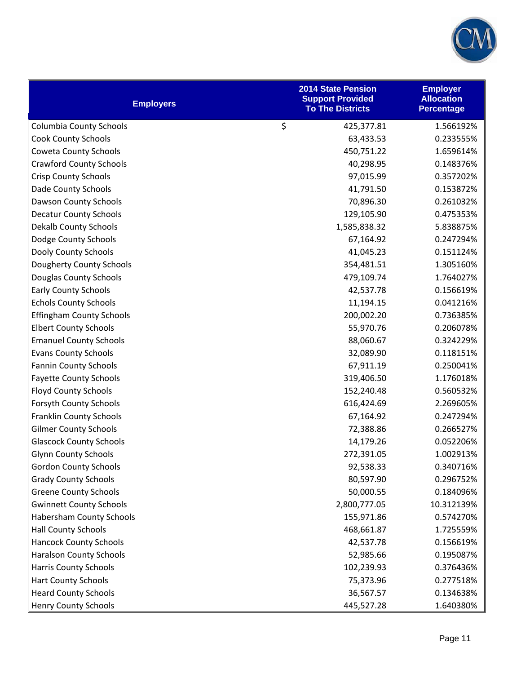

| <b>Employers</b>                | <b>2014 State Pension</b><br><b>Support Provided</b><br><b>To The Districts</b> | <b>Employer</b><br><b>Allocation</b><br><b>Percentage</b> |
|---------------------------------|---------------------------------------------------------------------------------|-----------------------------------------------------------|
| <b>Columbia County Schools</b>  | \$<br>425,377.81                                                                | 1.566192%                                                 |
| <b>Cook County Schools</b>      | 63,433.53                                                                       | 0.233555%                                                 |
| Coweta County Schools           | 450,751.22                                                                      | 1.659614%                                                 |
| <b>Crawford County Schools</b>  | 40,298.95                                                                       | 0.148376%                                                 |
| <b>Crisp County Schools</b>     | 97,015.99                                                                       | 0.357202%                                                 |
| <b>Dade County Schools</b>      | 41,791.50                                                                       | 0.153872%                                                 |
| <b>Dawson County Schools</b>    | 70,896.30                                                                       | 0.261032%                                                 |
| <b>Decatur County Schools</b>   | 129,105.90                                                                      | 0.475353%                                                 |
| <b>Dekalb County Schools</b>    | 1,585,838.32                                                                    | 5.838875%                                                 |
| Dodge County Schools            | 67,164.92                                                                       | 0.247294%                                                 |
| Dooly County Schools            | 41,045.23                                                                       | 0.151124%                                                 |
| <b>Dougherty County Schools</b> | 354,481.51                                                                      | 1.305160%                                                 |
| Douglas County Schools          | 479,109.74                                                                      | 1.764027%                                                 |
| <b>Early County Schools</b>     | 42,537.78                                                                       | 0.156619%                                                 |
| <b>Echols County Schools</b>    | 11,194.15                                                                       | 0.041216%                                                 |
| <b>Effingham County Schools</b> | 200,002.20                                                                      | 0.736385%                                                 |
| <b>Elbert County Schools</b>    | 55,970.76                                                                       | 0.206078%                                                 |
| <b>Emanuel County Schools</b>   | 88,060.67                                                                       | 0.324229%                                                 |
| <b>Evans County Schools</b>     | 32,089.90                                                                       | 0.118151%                                                 |
| <b>Fannin County Schools</b>    | 67,911.19                                                                       | 0.250041%                                                 |
| <b>Fayette County Schools</b>   | 319,406.50                                                                      | 1.176018%                                                 |
| <b>Floyd County Schools</b>     | 152,240.48                                                                      | 0.560532%                                                 |
| <b>Forsyth County Schools</b>   | 616,424.69                                                                      | 2.269605%                                                 |
| <b>Franklin County Schools</b>  | 67,164.92                                                                       | 0.247294%                                                 |
| <b>Gilmer County Schools</b>    | 72,388.86                                                                       | 0.266527%                                                 |
| <b>Glascock County Schools</b>  | 14,179.26                                                                       | 0.052206%                                                 |
| <b>Glynn County Schools</b>     | 272,391.05                                                                      | 1.002913%                                                 |
| <b>Gordon County Schools</b>    | 92,538.33                                                                       | 0.340716%                                                 |
| <b>Grady County Schools</b>     | 80,597.90                                                                       | 0.296752%                                                 |
| <b>Greene County Schools</b>    | 50,000.55                                                                       | 0.184096%                                                 |
| <b>Gwinnett County Schools</b>  | 2,800,777.05                                                                    | 10.312139%                                                |
| <b>Habersham County Schools</b> | 155,971.86                                                                      | 0.574270%                                                 |
| <b>Hall County Schools</b>      | 468,661.87                                                                      | 1.725559%                                                 |
| <b>Hancock County Schools</b>   | 42,537.78                                                                       | 0.156619%                                                 |
| <b>Haralson County Schools</b>  | 52,985.66                                                                       | 0.195087%                                                 |
| <b>Harris County Schools</b>    | 102,239.93                                                                      | 0.376436%                                                 |
| <b>Hart County Schools</b>      | 75,373.96                                                                       | 0.277518%                                                 |
| <b>Heard County Schools</b>     | 36,567.57                                                                       | 0.134638%                                                 |
| <b>Henry County Schools</b>     | 445,527.28                                                                      | 1.640380%                                                 |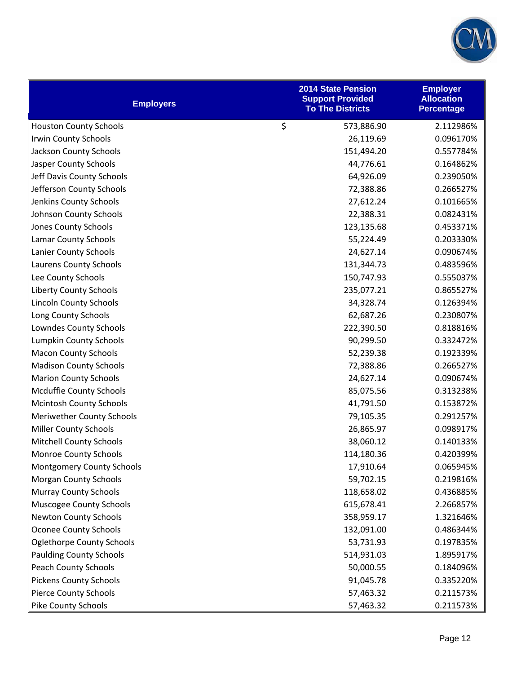

| <b>Employers</b>                 | <b>2014 State Pension</b><br><b>Support Provided</b><br><b>To The Districts</b> | <b>Employer</b><br><b>Allocation</b><br><b>Percentage</b> |
|----------------------------------|---------------------------------------------------------------------------------|-----------------------------------------------------------|
| <b>Houston County Schools</b>    | \$<br>573,886.90                                                                | 2.112986%                                                 |
| <b>Irwin County Schools</b>      | 26,119.69                                                                       | 0.096170%                                                 |
| Jackson County Schools           | 151,494.20                                                                      | 0.557784%                                                 |
| Jasper County Schools            | 44,776.61                                                                       | 0.164862%                                                 |
| Jeff Davis County Schools        | 64,926.09                                                                       | 0.239050%                                                 |
| Jefferson County Schools         | 72,388.86                                                                       | 0.266527%                                                 |
| Jenkins County Schools           | 27,612.24                                                                       | 0.101665%                                                 |
| Johnson County Schools           | 22,388.31                                                                       | 0.082431%                                                 |
| Jones County Schools             | 123,135.68                                                                      | 0.453371%                                                 |
| <b>Lamar County Schools</b>      | 55,224.49                                                                       | 0.203330%                                                 |
| Lanier County Schools            | 24,627.14                                                                       | 0.090674%                                                 |
| Laurens County Schools           | 131,344.73                                                                      | 0.483596%                                                 |
| Lee County Schools               | 150,747.93                                                                      | 0.555037%                                                 |
| <b>Liberty County Schools</b>    | 235,077.21                                                                      | 0.865527%                                                 |
| <b>Lincoln County Schools</b>    | 34,328.74                                                                       | 0.126394%                                                 |
| Long County Schools              | 62,687.26                                                                       | 0.230807%                                                 |
| Lowndes County Schools           | 222,390.50                                                                      | 0.818816%                                                 |
| <b>Lumpkin County Schools</b>    | 90,299.50                                                                       | 0.332472%                                                 |
| <b>Macon County Schools</b>      | 52,239.38                                                                       | 0.192339%                                                 |
| <b>Madison County Schools</b>    | 72,388.86                                                                       | 0.266527%                                                 |
| <b>Marion County Schools</b>     | 24,627.14                                                                       | 0.090674%                                                 |
| Mcduffie County Schools          | 85,075.56                                                                       | 0.313238%                                                 |
| <b>Mcintosh County Schools</b>   | 41,791.50                                                                       | 0.153872%                                                 |
| <b>Meriwether County Schools</b> | 79,105.35                                                                       | 0.291257%                                                 |
| <b>Miller County Schools</b>     | 26,865.97                                                                       | 0.098917%                                                 |
| <b>Mitchell County Schools</b>   | 38,060.12                                                                       | 0.140133%                                                 |
| <b>Monroe County Schools</b>     | 114,180.36                                                                      | 0.420399%                                                 |
| <b>Montgomery County Schools</b> | 17,910.64                                                                       | 0.065945%                                                 |
| <b>Morgan County Schools</b>     | 59,702.15                                                                       | 0.219816%                                                 |
| <b>Murray County Schools</b>     | 118,658.02                                                                      | 0.436885%                                                 |
| Muscogee County Schools          | 615,678.41                                                                      | 2.266857%                                                 |
| <b>Newton County Schools</b>     | 358,959.17                                                                      | 1.321646%                                                 |
| <b>Oconee County Schools</b>     | 132,091.00                                                                      | 0.486344%                                                 |
| <b>Oglethorpe County Schools</b> | 53,731.93                                                                       | 0.197835%                                                 |
| <b>Paulding County Schools</b>   | 514,931.03                                                                      | 1.895917%                                                 |
| <b>Peach County Schools</b>      | 50,000.55                                                                       | 0.184096%                                                 |
| <b>Pickens County Schools</b>    | 91,045.78                                                                       | 0.335220%                                                 |
| <b>Pierce County Schools</b>     | 57,463.32                                                                       | 0.211573%                                                 |
| <b>Pike County Schools</b>       | 57,463.32                                                                       | 0.211573%                                                 |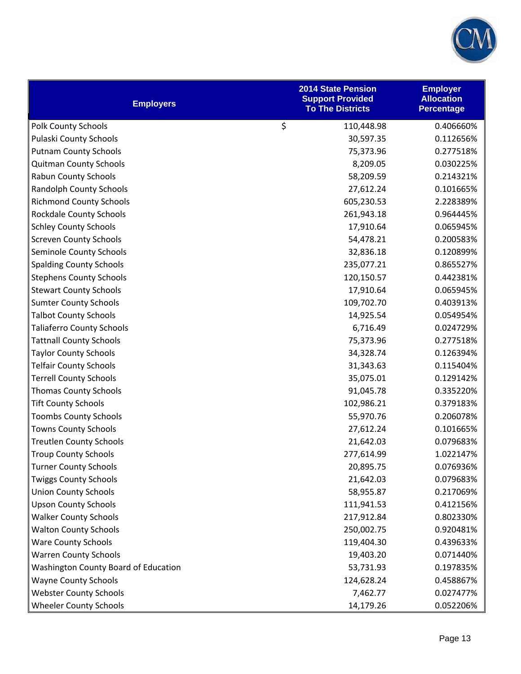

| <b>Employers</b>                     | <b>2014 State Pension</b><br><b>Support Provided</b><br><b>To The Districts</b> | <b>Employer</b><br><b>Allocation</b><br><b>Percentage</b> |
|--------------------------------------|---------------------------------------------------------------------------------|-----------------------------------------------------------|
| <b>Polk County Schools</b>           | \$<br>110,448.98                                                                | 0.406660%                                                 |
| Pulaski County Schools               | 30,597.35                                                                       | 0.112656%                                                 |
| <b>Putnam County Schools</b>         | 75,373.96                                                                       | 0.277518%                                                 |
| <b>Quitman County Schools</b>        | 8,209.05                                                                        | 0.030225%                                                 |
| <b>Rabun County Schools</b>          | 58,209.59                                                                       | 0.214321%                                                 |
| <b>Randolph County Schools</b>       | 27,612.24                                                                       | 0.101665%                                                 |
| <b>Richmond County Schools</b>       | 605,230.53                                                                      | 2.228389%                                                 |
| <b>Rockdale County Schools</b>       | 261,943.18                                                                      | 0.964445%                                                 |
| <b>Schley County Schools</b>         | 17,910.64                                                                       | 0.065945%                                                 |
| <b>Screven County Schools</b>        | 54,478.21                                                                       | 0.200583%                                                 |
| Seminole County Schools              | 32,836.18                                                                       | 0.120899%                                                 |
| <b>Spalding County Schools</b>       | 235,077.21                                                                      | 0.865527%                                                 |
| <b>Stephens County Schools</b>       | 120,150.57                                                                      | 0.442381%                                                 |
| <b>Stewart County Schools</b>        | 17,910.64                                                                       | 0.065945%                                                 |
| <b>Sumter County Schools</b>         | 109,702.70                                                                      | 0.403913%                                                 |
| <b>Talbot County Schools</b>         | 14,925.54                                                                       | 0.054954%                                                 |
| <b>Taliaferro County Schools</b>     | 6,716.49                                                                        | 0.024729%                                                 |
| <b>Tattnall County Schools</b>       | 75,373.96                                                                       | 0.277518%                                                 |
| <b>Taylor County Schools</b>         | 34,328.74                                                                       | 0.126394%                                                 |
| <b>Telfair County Schools</b>        | 31,343.63                                                                       | 0.115404%                                                 |
| <b>Terrell County Schools</b>        | 35,075.01                                                                       | 0.129142%                                                 |
| <b>Thomas County Schools</b>         | 91,045.78                                                                       | 0.335220%                                                 |
| <b>Tift County Schools</b>           | 102,986.21                                                                      | 0.379183%                                                 |
| <b>Toombs County Schools</b>         | 55,970.76                                                                       | 0.206078%                                                 |
| <b>Towns County Schools</b>          | 27,612.24                                                                       | 0.101665%                                                 |
| <b>Treutlen County Schools</b>       | 21,642.03                                                                       | 0.079683%                                                 |
| <b>Troup County Schools</b>          | 277,614.99                                                                      | 1.022147%                                                 |
| <b>Turner County Schools</b>         | 20,895.75                                                                       | 0.076936%                                                 |
| <b>Twiggs County Schools</b>         | 21,642.03                                                                       | 0.079683%                                                 |
| <b>Union County Schools</b>          | 58,955.87                                                                       | 0.217069%                                                 |
| <b>Upson County Schools</b>          | 111,941.53                                                                      | 0.412156%                                                 |
| <b>Walker County Schools</b>         | 217,912.84                                                                      | 0.802330%                                                 |
| <b>Walton County Schools</b>         | 250,002.75                                                                      | 0.920481%                                                 |
| <b>Ware County Schools</b>           | 119,404.30                                                                      | 0.439633%                                                 |
| <b>Warren County Schools</b>         | 19,403.20                                                                       | 0.071440%                                                 |
| Washington County Board of Education | 53,731.93                                                                       | 0.197835%                                                 |
| <b>Wayne County Schools</b>          | 124,628.24                                                                      | 0.458867%                                                 |
| <b>Webster County Schools</b>        | 7,462.77                                                                        | 0.027477%                                                 |
| <b>Wheeler County Schools</b>        | 14,179.26                                                                       | 0.052206%                                                 |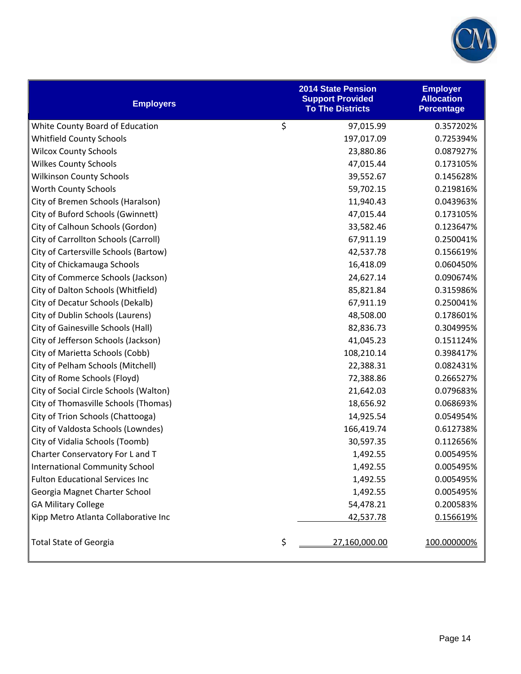

| <b>Employers</b>                       | <b>2014 State Pension</b><br><b>Support Provided</b><br><b>To The Districts</b> | <b>Employer</b><br><b>Allocation</b><br><b>Percentage</b> |
|----------------------------------------|---------------------------------------------------------------------------------|-----------------------------------------------------------|
| White County Board of Education        | \$<br>97,015.99                                                                 | 0.357202%                                                 |
| <b>Whitfield County Schools</b>        | 197,017.09                                                                      | 0.725394%                                                 |
| <b>Wilcox County Schools</b>           | 23,880.86                                                                       | 0.087927%                                                 |
| <b>Wilkes County Schools</b>           | 47,015.44                                                                       | 0.173105%                                                 |
| <b>Wilkinson County Schools</b>        | 39,552.67                                                                       | 0.145628%                                                 |
| Worth County Schools                   | 59,702.15                                                                       | 0.219816%                                                 |
| City of Bremen Schools (Haralson)      | 11,940.43                                                                       | 0.043963%                                                 |
| City of Buford Schools (Gwinnett)      | 47,015.44                                                                       | 0.173105%                                                 |
| City of Calhoun Schools (Gordon)       | 33,582.46                                                                       | 0.123647%                                                 |
| City of Carrollton Schools (Carroll)   | 67,911.19                                                                       | 0.250041%                                                 |
| City of Cartersville Schools (Bartow)  | 42,537.78                                                                       | 0.156619%                                                 |
| City of Chickamauga Schools            | 16,418.09                                                                       | 0.060450%                                                 |
| City of Commerce Schools (Jackson)     | 24,627.14                                                                       | 0.090674%                                                 |
| City of Dalton Schools (Whitfield)     | 85,821.84                                                                       | 0.315986%                                                 |
| City of Decatur Schools (Dekalb)       | 67,911.19                                                                       | 0.250041%                                                 |
| City of Dublin Schools (Laurens)       | 48,508.00                                                                       | 0.178601%                                                 |
| City of Gainesville Schools (Hall)     | 82,836.73                                                                       | 0.304995%                                                 |
| City of Jefferson Schools (Jackson)    | 41,045.23                                                                       | 0.151124%                                                 |
| City of Marietta Schools (Cobb)        | 108,210.14                                                                      | 0.398417%                                                 |
| City of Pelham Schools (Mitchell)      | 22,388.31                                                                       | 0.082431%                                                 |
| City of Rome Schools (Floyd)           | 72,388.86                                                                       | 0.266527%                                                 |
| City of Social Circle Schools (Walton) | 21,642.03                                                                       | 0.079683%                                                 |
| City of Thomasville Schools (Thomas)   | 18,656.92                                                                       | 0.068693%                                                 |
| City of Trion Schools (Chattooga)      | 14,925.54                                                                       | 0.054954%                                                 |
| City of Valdosta Schools (Lowndes)     | 166,419.74                                                                      | 0.612738%                                                 |
| City of Vidalia Schools (Toomb)        | 30,597.35                                                                       | 0.112656%                                                 |
| Charter Conservatory For L and T       | 1,492.55                                                                        | 0.005495%                                                 |
| <b>International Community School</b>  | 1,492.55                                                                        | 0.005495%                                                 |
| <b>Fulton Educational Services Inc</b> | 1,492.55                                                                        | 0.005495%                                                 |
| Georgia Magnet Charter School          | 1,492.55                                                                        | 0.005495%                                                 |
| <b>GA Military College</b>             | 54,478.21                                                                       | 0.200583%                                                 |
| Kipp Metro Atlanta Collaborative Inc   | 42,537.78                                                                       | 0.156619%                                                 |
| <b>Total State of Georgia</b>          | \$<br>27,160,000.00                                                             | 100.000000%                                               |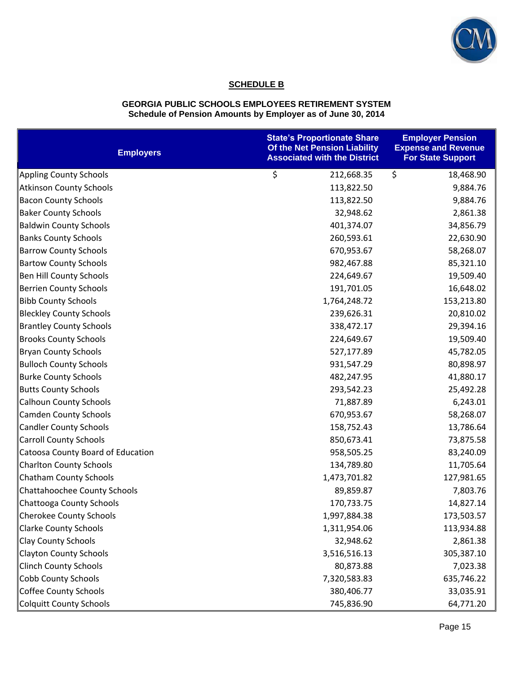

# **SCHEDULE B**

#### **GEORGIA PUBLIC SCHOOLS EMPLOYEES RETIREMENT SYSTEM Schedule of Pension Amounts by Employer as of June 30, 2014**

| <b>Employers</b>                  | <b>State's Proportionate Share</b><br>Of the Net Pension Liability<br><b>Associated with the District</b> | <b>Employer Pension</b><br><b>Expense and Revenue</b><br><b>For State Support</b> |
|-----------------------------------|-----------------------------------------------------------------------------------------------------------|-----------------------------------------------------------------------------------|
| <b>Appling County Schools</b>     | \$<br>212,668.35                                                                                          | \$<br>18,468.90                                                                   |
| <b>Atkinson County Schools</b>    | 113,822.50                                                                                                | 9,884.76                                                                          |
| <b>Bacon County Schools</b>       | 113,822.50                                                                                                | 9,884.76                                                                          |
| <b>Baker County Schools</b>       | 32,948.62                                                                                                 | 2,861.38                                                                          |
| <b>Baldwin County Schools</b>     | 401,374.07                                                                                                | 34,856.79                                                                         |
| <b>Banks County Schools</b>       | 260,593.61                                                                                                | 22,630.90                                                                         |
| <b>Barrow County Schools</b>      | 670,953.67                                                                                                | 58,268.07                                                                         |
| <b>Bartow County Schools</b>      | 982,467.88                                                                                                | 85,321.10                                                                         |
| Ben Hill County Schools           | 224,649.67                                                                                                | 19,509.40                                                                         |
| <b>Berrien County Schools</b>     | 191,701.05                                                                                                | 16,648.02                                                                         |
| <b>Bibb County Schools</b>        | 1,764,248.72                                                                                              | 153,213.80                                                                        |
| <b>Bleckley County Schools</b>    | 239,626.31                                                                                                | 20,810.02                                                                         |
| <b>Brantley County Schools</b>    | 338,472.17                                                                                                | 29,394.16                                                                         |
| <b>Brooks County Schools</b>      | 224,649.67                                                                                                | 19,509.40                                                                         |
| <b>Bryan County Schools</b>       | 527,177.89                                                                                                | 45,782.05                                                                         |
| <b>Bulloch County Schools</b>     | 931,547.29                                                                                                | 80,898.97                                                                         |
| <b>Burke County Schools</b>       | 482,247.95                                                                                                | 41,880.17                                                                         |
| <b>Butts County Schools</b>       | 293,542.23                                                                                                | 25,492.28                                                                         |
| <b>Calhoun County Schools</b>     | 71,887.89                                                                                                 | 6,243.01                                                                          |
| <b>Camden County Schools</b>      | 670,953.67                                                                                                | 58,268.07                                                                         |
| <b>Candler County Schools</b>     | 158,752.43                                                                                                | 13,786.64                                                                         |
| <b>Carroll County Schools</b>     | 850,673.41                                                                                                | 73,875.58                                                                         |
| Catoosa County Board of Education | 958,505.25                                                                                                | 83,240.09                                                                         |
| <b>Charlton County Schools</b>    | 134,789.80                                                                                                | 11,705.64                                                                         |
| <b>Chatham County Schools</b>     | 1,473,701.82                                                                                              | 127,981.65                                                                        |
| Chattahoochee County Schools      | 89,859.87                                                                                                 | 7,803.76                                                                          |
| Chattooga County Schools          | 170,733.75                                                                                                | 14,827.14                                                                         |
| <b>Cherokee County Schools</b>    | 1,997,884.38                                                                                              | 173,503.57                                                                        |
| <b>Clarke County Schools</b>      | 1,311,954.06                                                                                              | 113,934.88                                                                        |
| <b>Clay County Schools</b>        | 32,948.62                                                                                                 | 2,861.38                                                                          |
| <b>Clayton County Schools</b>     | 3,516,516.13                                                                                              | 305,387.10                                                                        |
| <b>Clinch County Schools</b>      | 80,873.88                                                                                                 | 7,023.38                                                                          |
| <b>Cobb County Schools</b>        | 7,320,583.83                                                                                              | 635,746.22                                                                        |
| <b>Coffee County Schools</b>      | 380,406.77                                                                                                | 33,035.91                                                                         |
| <b>Colquitt County Schools</b>    | 745,836.90                                                                                                | 64,771.20                                                                         |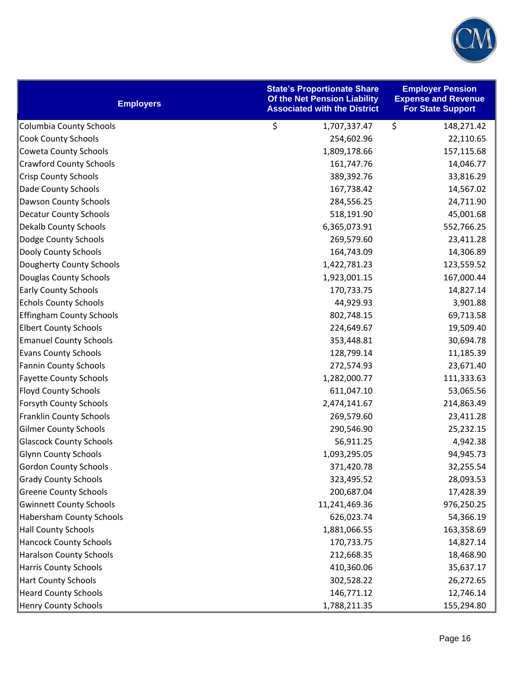

| <b>Employers</b>                | <b>State's Proportionate Share</b><br>Of the Net Pension Liability<br><b>Associated with the District</b> | <b>Employer Pension</b><br><b>Expense and Revenue</b><br><b>For State Support</b> |
|---------------------------------|-----------------------------------------------------------------------------------------------------------|-----------------------------------------------------------------------------------|
| <b>Columbia County Schools</b>  | \$<br>1,707,337.47                                                                                        | \$<br>148,271.42                                                                  |
| <b>Cook County Schools</b>      | 254,602.96                                                                                                | 22,110.65                                                                         |
| <b>Coweta County Schools</b>    | 1,809,178.66                                                                                              | 157,115.68                                                                        |
| <b>Crawford County Schools</b>  | 161,747.76                                                                                                | 14,046.77                                                                         |
| <b>Crisp County Schools</b>     | 389,392.76                                                                                                | 33,816.29                                                                         |
| Dade County Schools             | 167,738.42                                                                                                | 14,567.02                                                                         |
| <b>Dawson County Schools</b>    | 284,556.25                                                                                                | 24,711.90                                                                         |
| <b>Decatur County Schools</b>   | 518,191.90                                                                                                | 45,001.68                                                                         |
| <b>Dekalb County Schools</b>    | 6,365,073.91                                                                                              | 552,766.25                                                                        |
| Dodge County Schools            | 269,579.60                                                                                                | 23,411.28                                                                         |
| Dooly County Schools            | 164,743.09                                                                                                | 14,306.89                                                                         |
| Dougherty County Schools        | 1,422,781.23                                                                                              | 123,559.52                                                                        |
| Douglas County Schools          | 1,923,001.15                                                                                              | 167,000.44                                                                        |
| <b>Early County Schools</b>     | 170,733.75                                                                                                | 14,827.14                                                                         |
| <b>Echols County Schools</b>    | 44,929.93                                                                                                 | 3,901.88                                                                          |
| <b>Effingham County Schools</b> | 802,748.15                                                                                                | 69,713.58                                                                         |
| <b>Elbert County Schools</b>    | 224,649.67                                                                                                | 19,509.40                                                                         |
| <b>Emanuel County Schools</b>   | 353,448.81                                                                                                | 30,694.78                                                                         |
| <b>Evans County Schools</b>     | 128,799.14                                                                                                | 11,185.39                                                                         |
| <b>Fannin County Schools</b>    | 272,574.93                                                                                                | 23,671.40                                                                         |
| <b>Fayette County Schools</b>   | 1,282,000.77                                                                                              | 111,333.63                                                                        |
| <b>Floyd County Schools</b>     | 611,047.10                                                                                                | 53,065.56                                                                         |
| <b>Forsyth County Schools</b>   | 2,474,141.67                                                                                              | 214,863.49                                                                        |
| <b>Franklin County Schools</b>  | 269,579.60                                                                                                | 23,411.28                                                                         |
| <b>Gilmer County Schools</b>    | 290,546.90                                                                                                | 25,232.15                                                                         |
| <b>Glascock County Schools</b>  | 56,911.25                                                                                                 | 4,942.38                                                                          |
| <b>Glynn County Schools</b>     | 1,093,295.05                                                                                              | 94,945.73                                                                         |
| <b>Gordon County Schools</b>    | 371,420.78                                                                                                | 32,255.54                                                                         |
| <b>Grady County Schools</b>     | 323,495.52                                                                                                | 28,093.53                                                                         |
| <b>Greene County Schools</b>    | 200,687.04                                                                                                | 17,428.39                                                                         |
| <b>Gwinnett County Schools</b>  | 11,241,469.36                                                                                             | 976,250.25                                                                        |
| <b>Habersham County Schools</b> | 626,023.74                                                                                                | 54,366.19                                                                         |
| <b>Hall County Schools</b>      | 1,881,066.55                                                                                              | 163,358.69                                                                        |
| <b>Hancock County Schools</b>   | 170,733.75                                                                                                | 14,827.14                                                                         |
| <b>Haralson County Schools</b>  | 212,668.35                                                                                                | 18,468.90                                                                         |
| <b>Harris County Schools</b>    | 410,360.06                                                                                                | 35,637.17                                                                         |
| <b>Hart County Schools</b>      | 302,528.22                                                                                                | 26,272.65                                                                         |
| <b>Heard County Schools</b>     | 146,771.12                                                                                                | 12,746.14                                                                         |
| <b>Henry County Schools</b>     | 1,788,211.35                                                                                              | 155,294.80                                                                        |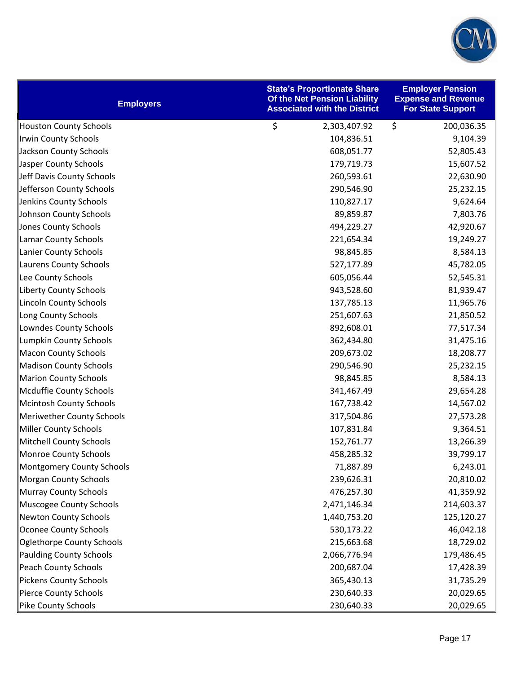

| <b>Employers</b>                 | <b>State's Proportionate Share</b><br>Of the Net Pension Liability<br><b>Associated with the District</b> | <b>Employer Pension</b><br><b>Expense and Revenue</b><br><b>For State Support</b> |
|----------------------------------|-----------------------------------------------------------------------------------------------------------|-----------------------------------------------------------------------------------|
| <b>Houston County Schools</b>    | \$<br>2,303,407.92                                                                                        | \$<br>200,036.35                                                                  |
| <b>Irwin County Schools</b>      | 104,836.51                                                                                                | 9,104.39                                                                          |
| Jackson County Schools           | 608,051.77                                                                                                | 52,805.43                                                                         |
| Jasper County Schools            | 179,719.73                                                                                                | 15,607.52                                                                         |
| Jeff Davis County Schools        | 260,593.61                                                                                                | 22,630.90                                                                         |
| Jefferson County Schools         | 290,546.90                                                                                                | 25,232.15                                                                         |
| Jenkins County Schools           | 110,827.17                                                                                                | 9,624.64                                                                          |
| Johnson County Schools           | 89,859.87                                                                                                 | 7,803.76                                                                          |
| <b>Jones County Schools</b>      | 494,229.27                                                                                                | 42,920.67                                                                         |
| <b>Lamar County Schools</b>      | 221,654.34                                                                                                | 19,249.27                                                                         |
| <b>Lanier County Schools</b>     | 98,845.85                                                                                                 | 8,584.13                                                                          |
| Laurens County Schools           | 527,177.89                                                                                                | 45,782.05                                                                         |
| Lee County Schools               | 605,056.44                                                                                                | 52,545.31                                                                         |
| <b>Liberty County Schools</b>    | 943,528.60                                                                                                | 81,939.47                                                                         |
| <b>Lincoln County Schools</b>    | 137,785.13                                                                                                | 11,965.76                                                                         |
| Long County Schools              | 251,607.63                                                                                                | 21,850.52                                                                         |
| Lowndes County Schools           | 892,608.01                                                                                                | 77,517.34                                                                         |
| <b>Lumpkin County Schools</b>    | 362,434.80                                                                                                | 31,475.16                                                                         |
| <b>Macon County Schools</b>      | 209,673.02                                                                                                | 18,208.77                                                                         |
| <b>Madison County Schools</b>    | 290,546.90                                                                                                | 25,232.15                                                                         |
| <b>Marion County Schools</b>     | 98,845.85                                                                                                 | 8,584.13                                                                          |
| <b>Mcduffie County Schools</b>   | 341,467.49                                                                                                | 29,654.28                                                                         |
| <b>Mcintosh County Schools</b>   | 167,738.42                                                                                                | 14,567.02                                                                         |
| <b>Meriwether County Schools</b> | 317,504.86                                                                                                | 27,573.28                                                                         |
| <b>Miller County Schools</b>     | 107,831.84                                                                                                | 9,364.51                                                                          |
| <b>Mitchell County Schools</b>   | 152,761.77                                                                                                | 13,266.39                                                                         |
| <b>Monroe County Schools</b>     | 458,285.32                                                                                                | 39,799.17                                                                         |
| <b>Montgomery County Schools</b> | 71,887.89                                                                                                 | 6,243.01                                                                          |
| <b>Morgan County Schools</b>     | 239,626.31                                                                                                | 20,810.02                                                                         |
| <b>Murray County Schools</b>     | 476,257.30                                                                                                | 41,359.92                                                                         |
| <b>Muscogee County Schools</b>   | 2,471,146.34                                                                                              | 214,603.37                                                                        |
| <b>Newton County Schools</b>     | 1,440,753.20                                                                                              | 125,120.27                                                                        |
| <b>Oconee County Schools</b>     | 530,173.22                                                                                                | 46,042.18                                                                         |
| <b>Oglethorpe County Schools</b> | 215,663.68                                                                                                | 18,729.02                                                                         |
| <b>Paulding County Schools</b>   | 2,066,776.94                                                                                              | 179,486.45                                                                        |
| Peach County Schools             | 200,687.04                                                                                                | 17,428.39                                                                         |
| <b>Pickens County Schools</b>    | 365,430.13                                                                                                | 31,735.29                                                                         |
| <b>Pierce County Schools</b>     | 230,640.33                                                                                                | 20,029.65                                                                         |
| Pike County Schools              | 230,640.33                                                                                                | 20,029.65                                                                         |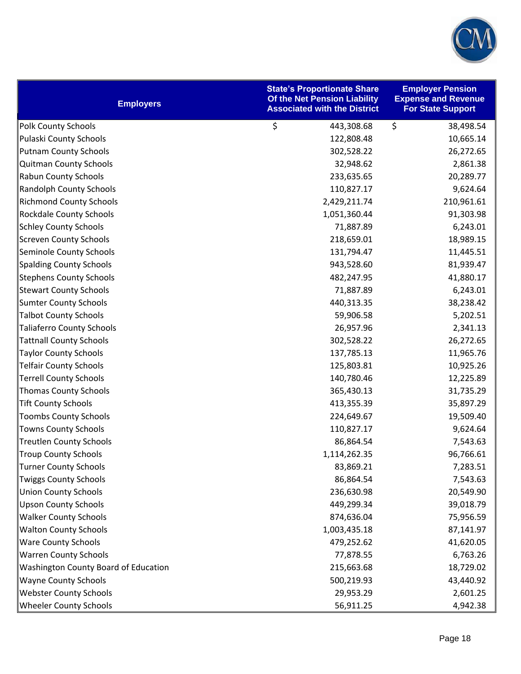

| <b>Employers</b>                     | <b>State's Proportionate Share</b><br>Of the Net Pension Liability<br><b>Associated with the District</b> | <b>Employer Pension</b><br><b>Expense and Revenue</b><br><b>For State Support</b> |
|--------------------------------------|-----------------------------------------------------------------------------------------------------------|-----------------------------------------------------------------------------------|
| <b>Polk County Schools</b>           | \$<br>443,308.68                                                                                          | \$<br>38,498.54                                                                   |
| Pulaski County Schools               | 122,808.48                                                                                                | 10,665.14                                                                         |
| <b>Putnam County Schools</b>         | 302,528.22                                                                                                | 26,272.65                                                                         |
| <b>Quitman County Schools</b>        | 32,948.62                                                                                                 | 2,861.38                                                                          |
| <b>Rabun County Schools</b>          | 233,635.65                                                                                                | 20,289.77                                                                         |
| <b>Randolph County Schools</b>       | 110,827.17                                                                                                | 9,624.64                                                                          |
| <b>Richmond County Schools</b>       | 2,429,211.74                                                                                              | 210,961.61                                                                        |
| Rockdale County Schools              | 1,051,360.44                                                                                              | 91,303.98                                                                         |
| <b>Schley County Schools</b>         | 71,887.89                                                                                                 | 6,243.01                                                                          |
| <b>Screven County Schools</b>        | 218,659.01                                                                                                | 18,989.15                                                                         |
| Seminole County Schools              | 131,794.47                                                                                                | 11,445.51                                                                         |
| <b>Spalding County Schools</b>       | 943,528.60                                                                                                | 81,939.47                                                                         |
| <b>Stephens County Schools</b>       | 482,247.95                                                                                                | 41,880.17                                                                         |
| <b>Stewart County Schools</b>        | 71,887.89                                                                                                 | 6,243.01                                                                          |
| <b>Sumter County Schools</b>         | 440,313.35                                                                                                | 38,238.42                                                                         |
| <b>Talbot County Schools</b>         | 59,906.58                                                                                                 | 5,202.51                                                                          |
| <b>Taliaferro County Schools</b>     | 26,957.96                                                                                                 | 2,341.13                                                                          |
| <b>Tattnall County Schools</b>       | 302,528.22                                                                                                | 26,272.65                                                                         |
| <b>Taylor County Schools</b>         | 137,785.13                                                                                                | 11,965.76                                                                         |
| <b>Telfair County Schools</b>        | 125,803.81                                                                                                | 10,925.26                                                                         |
| <b>Terrell County Schools</b>        | 140,780.46                                                                                                | 12,225.89                                                                         |
| <b>Thomas County Schools</b>         | 365,430.13                                                                                                | 31,735.29                                                                         |
| <b>Tift County Schools</b>           | 413,355.39                                                                                                | 35,897.29                                                                         |
| <b>Toombs County Schools</b>         | 224,649.67                                                                                                | 19,509.40                                                                         |
| <b>Towns County Schools</b>          | 110,827.17                                                                                                | 9,624.64                                                                          |
| <b>Treutlen County Schools</b>       | 86,864.54                                                                                                 | 7,543.63                                                                          |
| <b>Troup County Schools</b>          | 1,114,262.35                                                                                              | 96,766.61                                                                         |
| <b>Turner County Schools</b>         | 83,869.21                                                                                                 | 7,283.51                                                                          |
| <b>Twiggs County Schools</b>         | 86,864.54                                                                                                 | 7,543.63                                                                          |
| <b>Union County Schools</b>          | 236,630.98                                                                                                | 20,549.90                                                                         |
| <b>Upson County Schools</b>          | 449,299.34                                                                                                | 39,018.79                                                                         |
| <b>Walker County Schools</b>         | 874,636.04                                                                                                | 75,956.59                                                                         |
| <b>Walton County Schools</b>         | 1,003,435.18                                                                                              | 87,141.97                                                                         |
| <b>Ware County Schools</b>           | 479,252.62                                                                                                | 41,620.05                                                                         |
| <b>Warren County Schools</b>         | 77,878.55                                                                                                 | 6,763.26                                                                          |
| Washington County Board of Education | 215,663.68                                                                                                | 18,729.02                                                                         |
| <b>Wayne County Schools</b>          | 500,219.93                                                                                                | 43,440.92                                                                         |
| <b>Webster County Schools</b>        | 29,953.29                                                                                                 | 2,601.25                                                                          |
| <b>Wheeler County Schools</b>        | 56,911.25                                                                                                 | 4,942.38                                                                          |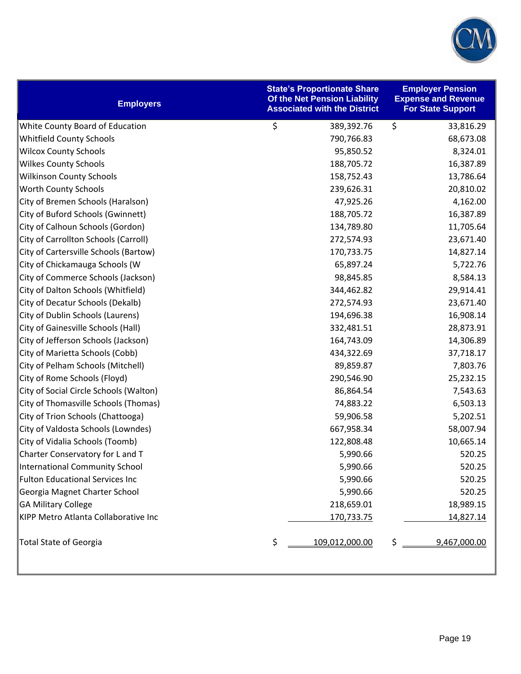

| <b>Employers</b>                       | <b>State's Proportionate Share</b><br>Of the Net Pension Liability<br><b>Associated with the District</b> | <b>Employer Pension</b><br><b>Expense and Revenue</b><br><b>For State Support</b> |
|----------------------------------------|-----------------------------------------------------------------------------------------------------------|-----------------------------------------------------------------------------------|
| White County Board of Education        | \$<br>389,392.76                                                                                          | $\zeta$<br>33,816.29                                                              |
| Whitfield County Schools               | 790,766.83                                                                                                | 68,673.08                                                                         |
| <b>Wilcox County Schools</b>           | 95,850.52                                                                                                 | 8,324.01                                                                          |
| <b>Wilkes County Schools</b>           | 188,705.72                                                                                                | 16,387.89                                                                         |
| <b>Wilkinson County Schools</b>        | 158,752.43                                                                                                | 13,786.64                                                                         |
| Worth County Schools                   | 239,626.31                                                                                                | 20,810.02                                                                         |
| City of Bremen Schools (Haralson)      | 47,925.26                                                                                                 | 4,162.00                                                                          |
| City of Buford Schools (Gwinnett)      | 188,705.72                                                                                                | 16,387.89                                                                         |
| City of Calhoun Schools (Gordon)       | 134,789.80                                                                                                | 11,705.64                                                                         |
| City of Carrollton Schools (Carroll)   | 272,574.93                                                                                                | 23,671.40                                                                         |
| City of Cartersville Schools (Bartow)  | 170,733.75                                                                                                | 14,827.14                                                                         |
| City of Chickamauga Schools (W         | 65,897.24                                                                                                 | 5,722.76                                                                          |
| City of Commerce Schools (Jackson)     | 98,845.85                                                                                                 | 8,584.13                                                                          |
| City of Dalton Schools (Whitfield)     | 344,462.82                                                                                                | 29,914.41                                                                         |
| City of Decatur Schools (Dekalb)       | 272,574.93                                                                                                | 23,671.40                                                                         |
| City of Dublin Schools (Laurens)       | 194,696.38                                                                                                | 16,908.14                                                                         |
| City of Gainesville Schools (Hall)     | 332,481.51                                                                                                | 28,873.91                                                                         |
| City of Jefferson Schools (Jackson)    | 164,743.09                                                                                                | 14,306.89                                                                         |
| City of Marietta Schools (Cobb)        | 434,322.69                                                                                                | 37,718.17                                                                         |
| City of Pelham Schools (Mitchell)      | 89,859.87                                                                                                 | 7,803.76                                                                          |
| City of Rome Schools (Floyd)           | 290,546.90                                                                                                | 25,232.15                                                                         |
| City of Social Circle Schools (Walton) | 86,864.54                                                                                                 | 7,543.63                                                                          |
| City of Thomasville Schools (Thomas)   | 74,883.22                                                                                                 | 6,503.13                                                                          |
| City of Trion Schools (Chattooga)      | 59,906.58                                                                                                 | 5,202.51                                                                          |
| City of Valdosta Schools (Lowndes)     | 667,958.34                                                                                                | 58,007.94                                                                         |
| City of Vidalia Schools (Toomb)        | 122,808.48                                                                                                | 10,665.14                                                                         |
| Charter Conservatory for L and T       | 5,990.66                                                                                                  | 520.25                                                                            |
| International Community School         | 5,990.66                                                                                                  | 520.25                                                                            |
| <b>Fulton Educational Services Inc</b> | 5,990.66                                                                                                  | 520.25                                                                            |
| Georgia Magnet Charter School          | 5,990.66                                                                                                  | 520.25                                                                            |
| <b>GA Military College</b>             | 218,659.01                                                                                                | 18,989.15                                                                         |
| KIPP Metro Atlanta Collaborative Inc   | <u>170,733.75</u>                                                                                         | 14,827.14                                                                         |
| <b>Total State of Georgia</b>          | \$<br>109,012,000.00                                                                                      | \$<br>9,467,000.00                                                                |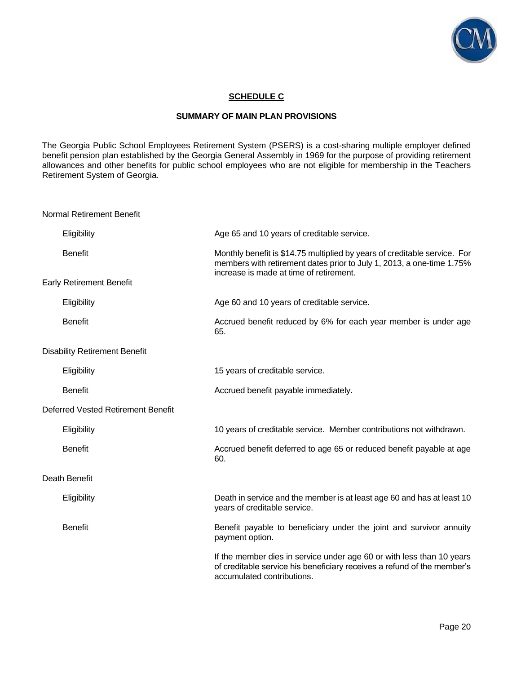

## **SCHEDULE C**

### **SUMMARY OF MAIN PLAN PROVISIONS**

The Georgia Public School Employees Retirement System (PSERS) is a cost-sharing multiple employer defined benefit pension plan established by the Georgia General Assembly in 1969 for the purpose of providing retirement allowances and other benefits for public school employees who are not eligible for membership in the Teachers Retirement System of Georgia.

Normal Retirement Benefit

| Eligibility                          | Age 65 and 10 years of creditable service.                                                                                                                                                    |
|--------------------------------------|-----------------------------------------------------------------------------------------------------------------------------------------------------------------------------------------------|
| <b>Benefit</b>                       | Monthly benefit is \$14.75 multiplied by years of creditable service. For<br>members with retirement dates prior to July 1, 2013, a one-time 1.75%<br>increase is made at time of retirement. |
| <b>Early Retirement Benefit</b>      |                                                                                                                                                                                               |
| Eligibility                          | Age 60 and 10 years of creditable service.                                                                                                                                                    |
| <b>Benefit</b>                       | Accrued benefit reduced by 6% for each year member is under age<br>65.                                                                                                                        |
| <b>Disability Retirement Benefit</b> |                                                                                                                                                                                               |
| Eligibility                          | 15 years of creditable service.                                                                                                                                                               |
| <b>Benefit</b>                       | Accrued benefit payable immediately.                                                                                                                                                          |
| Deferred Vested Retirement Benefit   |                                                                                                                                                                                               |
| Eligibility                          | 10 years of creditable service. Member contributions not withdrawn.                                                                                                                           |
| <b>Benefit</b>                       | Accrued benefit deferred to age 65 or reduced benefit payable at age<br>60.                                                                                                                   |
| Death Benefit                        |                                                                                                                                                                                               |
| Eligibility                          | Death in service and the member is at least age 60 and has at least 10<br>years of creditable service.                                                                                        |
| <b>Benefit</b>                       | Benefit payable to beneficiary under the joint and survivor annuity<br>payment option.                                                                                                        |
|                                      | If the member dies in service under age 60 or with less than 10 years<br>of creditable service his beneficiary receives a refund of the member's<br>accumulated contributions.                |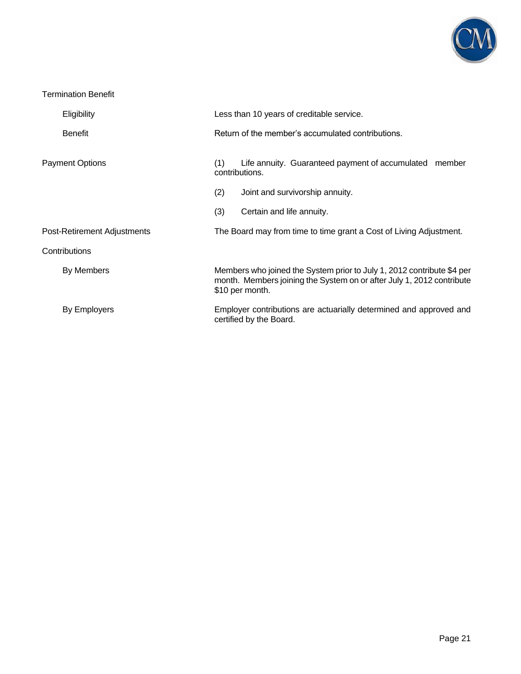

## Termination Benefit

| Eligibility                 | Less than 10 years of creditable service.                                                                                                                          |                                                                                               |  |
|-----------------------------|--------------------------------------------------------------------------------------------------------------------------------------------------------------------|-----------------------------------------------------------------------------------------------|--|
| <b>Benefit</b>              |                                                                                                                                                                    | Return of the member's accumulated contributions.                                             |  |
| <b>Payment Options</b>      | (1)<br>contributions.                                                                                                                                              | Life annuity. Guaranteed payment of accumulated member                                        |  |
|                             | (2)                                                                                                                                                                | Joint and survivorship annuity.                                                               |  |
|                             | (3)                                                                                                                                                                | Certain and life annuity.                                                                     |  |
| Post-Retirement Adjustments | The Board may from time to time grant a Cost of Living Adjustment.                                                                                                 |                                                                                               |  |
| Contributions               |                                                                                                                                                                    |                                                                                               |  |
| By Members                  | Members who joined the System prior to July 1, 2012 contribute \$4 per<br>month. Members joining the System on or after July 1, 2012 contribute<br>\$10 per month. |                                                                                               |  |
| By Employers                |                                                                                                                                                                    | Employer contributions are actuarially determined and approved and<br>certified by the Board. |  |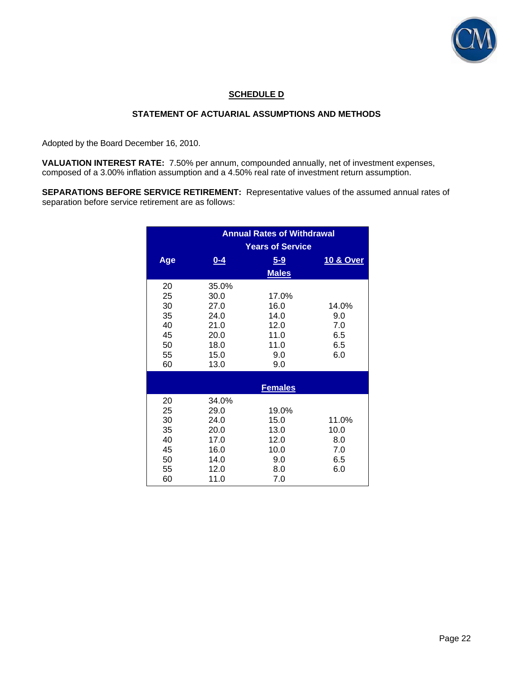

## **SCHEDULE D**

## **STATEMENT OF ACTUARIAL ASSUMPTIONS AND METHODS**

Adopted by the Board December 16, 2010.

**VALUATION INTEREST RATE:** 7.50% per annum, compounded annually, net of investment expenses, composed of a 3.00% inflation assumption and a 4.50% real rate of investment return assumption.

**SEPARATIONS BEFORE SERVICE RETIREMENT:** Representative values of the assumed annual rates of separation before service retirement are as follows:

|                                                    |                                                                       | <b>Annual Rates of Withdrawal</b><br><b>Years of Service</b> |                                           |
|----------------------------------------------------|-----------------------------------------------------------------------|--------------------------------------------------------------|-------------------------------------------|
| Age                                                | $0 - 4$                                                               | $5 - 9$<br><b>Males</b>                                      | 10 & Over                                 |
| 20<br>25<br>30<br>35<br>40<br>45<br>50<br>55<br>60 | 35.0%<br>30.0<br>27.0<br>24.0<br>21.0<br>20.0<br>18.0<br>15.0<br>13.0 | 17.0%<br>16.0<br>14.0<br>12.0<br>11.0<br>11.0<br>9.0<br>9.0  | 14.0%<br>9.0<br>7.0<br>6.5<br>6.5<br>6.0  |
|                                                    |                                                                       | <b>Females</b>                                               |                                           |
| 20<br>25<br>30<br>35<br>40<br>45<br>50<br>55<br>60 | 34.0%<br>29.0<br>24.0<br>20.0<br>17.0<br>16.0<br>14.0<br>12.0<br>11.0 | 19.0%<br>15.0<br>13.0<br>12.0<br>10.0<br>9.0<br>8.0<br>7.0   | 11.0%<br>10.0<br>8.0<br>7.0<br>6.5<br>6.0 |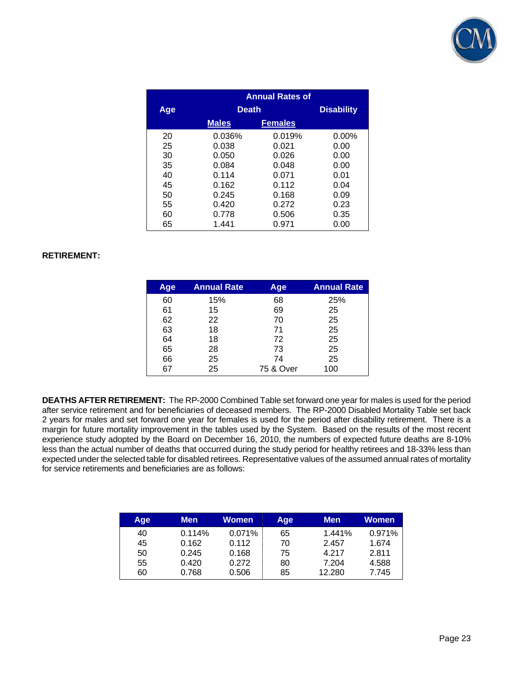

|     |              | <b>Annual Rates of</b> |          |
|-----|--------------|------------------------|----------|
| Age |              | <b>Death</b>           |          |
|     | <b>Males</b> | <b>Females</b>         |          |
| 20  | 0.036%       | 0.019%                 | $0.00\%$ |
| 25  | 0.038        | 0.021                  | 0.00     |
| 30  | 0.050        | 0.026                  | 0.00     |
| 35  | 0.084        | 0.048                  | 0.00     |
| 40  | 0.114        | 0.071                  | 0.01     |
| 45  | 0.162        | 0.112                  | 0.04     |
| 50  | 0.245        | 0.168                  | 0.09     |
| 55  | 0.420        | 0.272                  | 0.23     |
| 60  | 0.778        | 0.506                  | 0.35     |
| 65  | 1.441        | 0.971                  | 0.00     |

## **RETIREMENT:**

| Age | <b>Annual Rate</b> | Age       | <b>Annual Rate</b> |
|-----|--------------------|-----------|--------------------|
| 60  | 15%                | 68        | 25%                |
| 61  | 15                 | 69        | 25                 |
| 62  | 22                 | 70        | 25                 |
| 63  | 18                 | 71        | 25                 |
| 64  | 18                 | 72        | 25                 |
| 65  | 28                 | 73        | 25                 |
| 66  | 25                 | 74        | 25                 |
| 67  | 25                 | 75 & Over | 100                |

**DEATHS AFTER RETIREMENT:** The RP-2000 Combined Table set forward one year for males is used for the period after service retirement and for beneficiaries of deceased members. The RP-2000 Disabled Mortality Table set back 2 years for males and set forward one year for females is used for the period after disability retirement. There is a margin for future mortality improvement in the tables used by the System. Based on the results of the most recent experience study adopted by the Board on December 16, 2010, the numbers of expected future deaths are 8-10% less than the actual number of deaths that occurred during the study period for healthy retirees and 18-33% less than expected under the selected table for disabled retirees. Representative values of the assumed annual rates of mortality for service retirements and beneficiaries are as follows:

| Age | Men    | Women  | Age | <b>Men</b> | Women  |
|-----|--------|--------|-----|------------|--------|
| 40  | 0.114% | 0.071% | 65  | 1.441%     | 0.971% |
| 45  | 0.162  | 0.112  | 70  | 2.457      | 1.674  |
| 50  | 0.245  | 0.168  | 75  | 4.217      | 2.811  |
| 55  | 0.420  | 0.272  | 80  | 7.204      | 4.588  |
| 60  | 0.768  | 0.506  | 85  | 12.280     | 7.745  |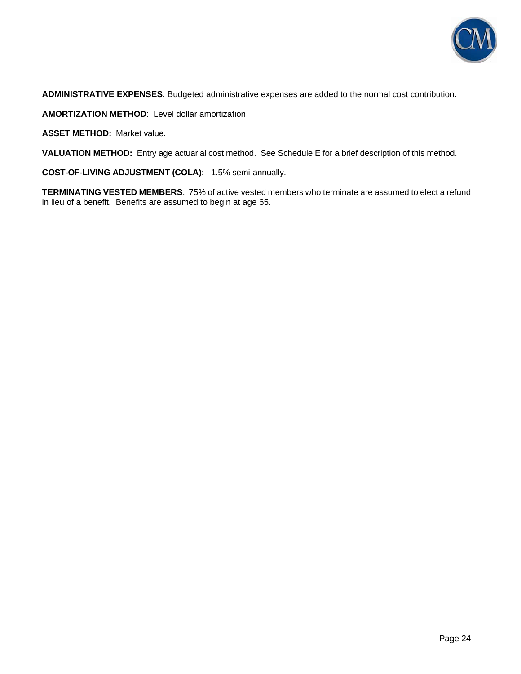

**ADMINISTRATIVE EXPENSES**: Budgeted administrative expenses are added to the normal cost contribution.

**AMORTIZATION METHOD**: Level dollar amortization.

**ASSET METHOD:** Market value.

**VALUATION METHOD:** Entry age actuarial cost method. See Schedule E for a brief description of this method.

**COST-OF-LIVING ADJUSTMENT (COLA):** 1.5% semi-annually.

**TERMINATING VESTED MEMBERS**: 75% of active vested members who terminate are assumed to elect a refund in lieu of a benefit. Benefits are assumed to begin at age 65.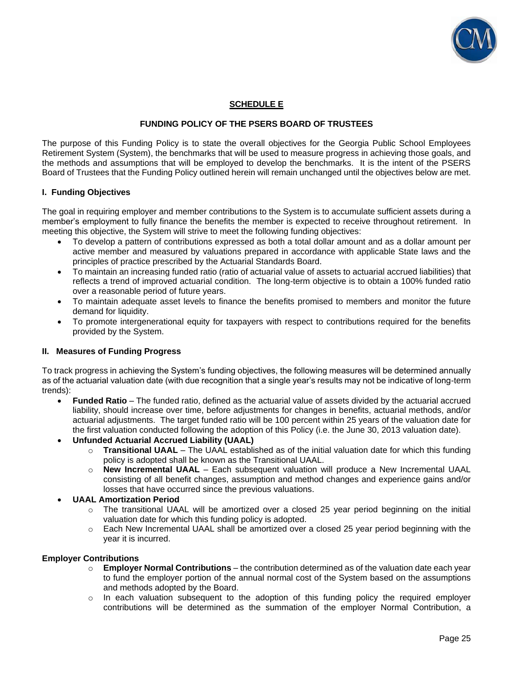

## **SCHEDULE E**

## **FUNDING POLICY OF THE PSERS BOARD OF TRUSTEES**

The purpose of this Funding Policy is to state the overall objectives for the Georgia Public School Employees Retirement System (System), the benchmarks that will be used to measure progress in achieving those goals, and the methods and assumptions that will be employed to develop the benchmarks. It is the intent of the PSERS Board of Trustees that the Funding Policy outlined herein will remain unchanged until the objectives below are met.

### **I. Funding Objectives**

The goal in requiring employer and member contributions to the System is to accumulate sufficient assets during a member's employment to fully finance the benefits the member is expected to receive throughout retirement. In meeting this objective, the System will strive to meet the following funding objectives:

- To develop a pattern of contributions expressed as both a total dollar amount and as a dollar amount per active member and measured by valuations prepared in accordance with applicable State laws and the principles of practice prescribed by the Actuarial Standards Board.
- To maintain an increasing funded ratio (ratio of actuarial value of assets to actuarial accrued liabilities) that reflects a trend of improved actuarial condition. The long-term objective is to obtain a 100% funded ratio over a reasonable period of future years.
- To maintain adequate asset levels to finance the benefits promised to members and monitor the future demand for liquidity.
- To promote intergenerational equity for taxpayers with respect to contributions required for the benefits provided by the System.

#### **II. Measures of Funding Progress**

To track progress in achieving the System's funding objectives, the following measures will be determined annually as of the actuarial valuation date (with due recognition that a single year's results may not be indicative of long-term trends):

- **Funded Ratio** The funded ratio, defined as the actuarial value of assets divided by the actuarial accrued liability, should increase over time, before adjustments for changes in benefits, actuarial methods, and/or actuarial adjustments. The target funded ratio will be 100 percent within 25 years of the valuation date for the first valuation conducted following the adoption of this Policy (i.e. the June 30, 2013 valuation date).
- **Unfunded Actuarial Accrued Liability (UAAL)**
	- o **Transitional UAAL** The UAAL established as of the initial valuation date for which this funding policy is adopted shall be known as the Transitional UAAL.
	- o **New Incremental UAAL** Each subsequent valuation will produce a New Incremental UAAL consisting of all benefit changes, assumption and method changes and experience gains and/or losses that have occurred since the previous valuations.
- **UAAL Amortization Period** 
	- $\circ$  The transitional UAAL will be amortized over a closed 25 year period beginning on the initial valuation date for which this funding policy is adopted.
	- o Each New Incremental UAAL shall be amortized over a closed 25 year period beginning with the year it is incurred.

#### **Employer Contributions**

- o **Employer Normal Contributions**  the contribution determined as of the valuation date each year to fund the employer portion of the annual normal cost of the System based on the assumptions and methods adopted by the Board.
- $\circ$  In each valuation subsequent to the adoption of this funding policy the required employer contributions will be determined as the summation of the employer Normal Contribution, a